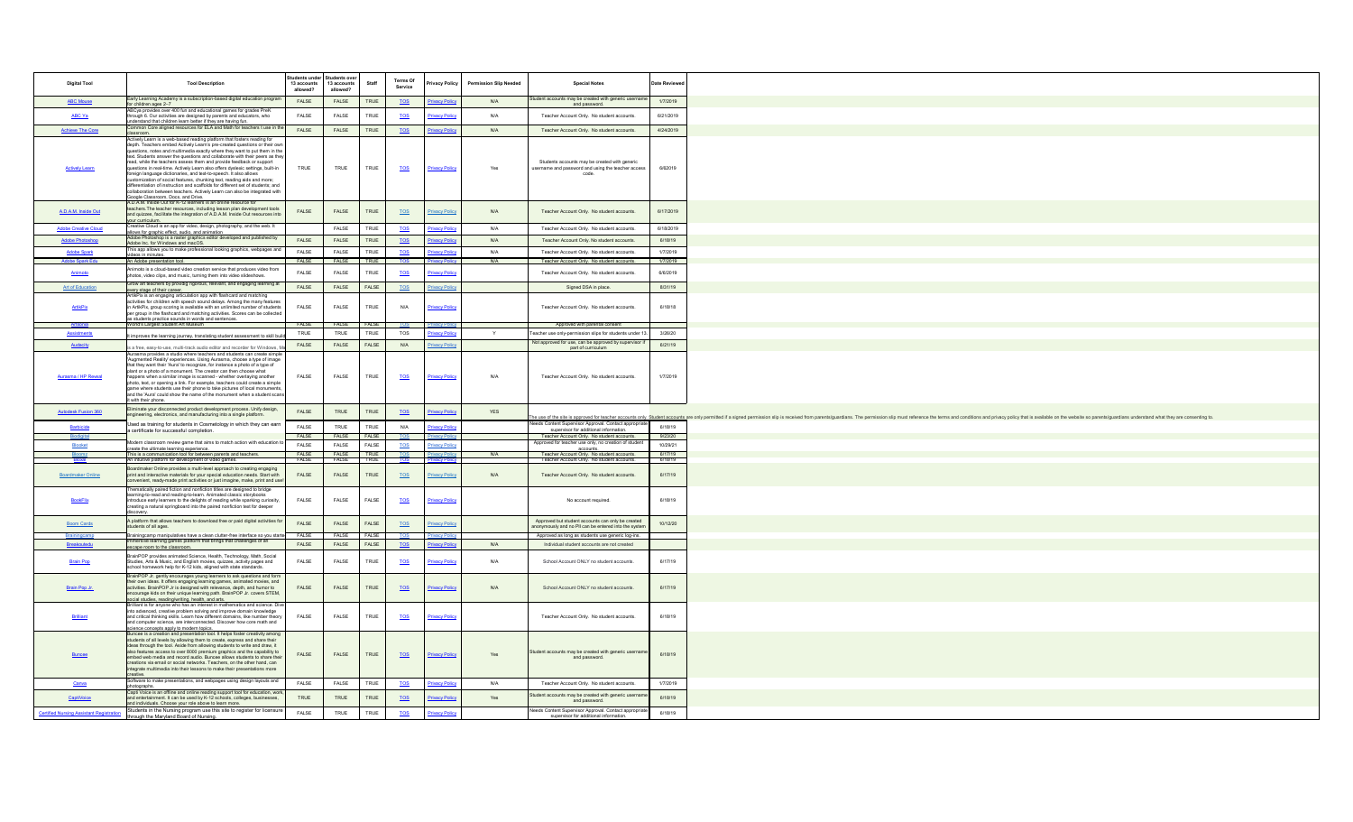The use of the site is approved for teacher accounts only. Student accounts are only permitted if a signed permission slip is received from parents/guardians. The permission slip must reference the terms and conditions and privacy policy that is available on the website so parents/guardians understand what they are consenting to.

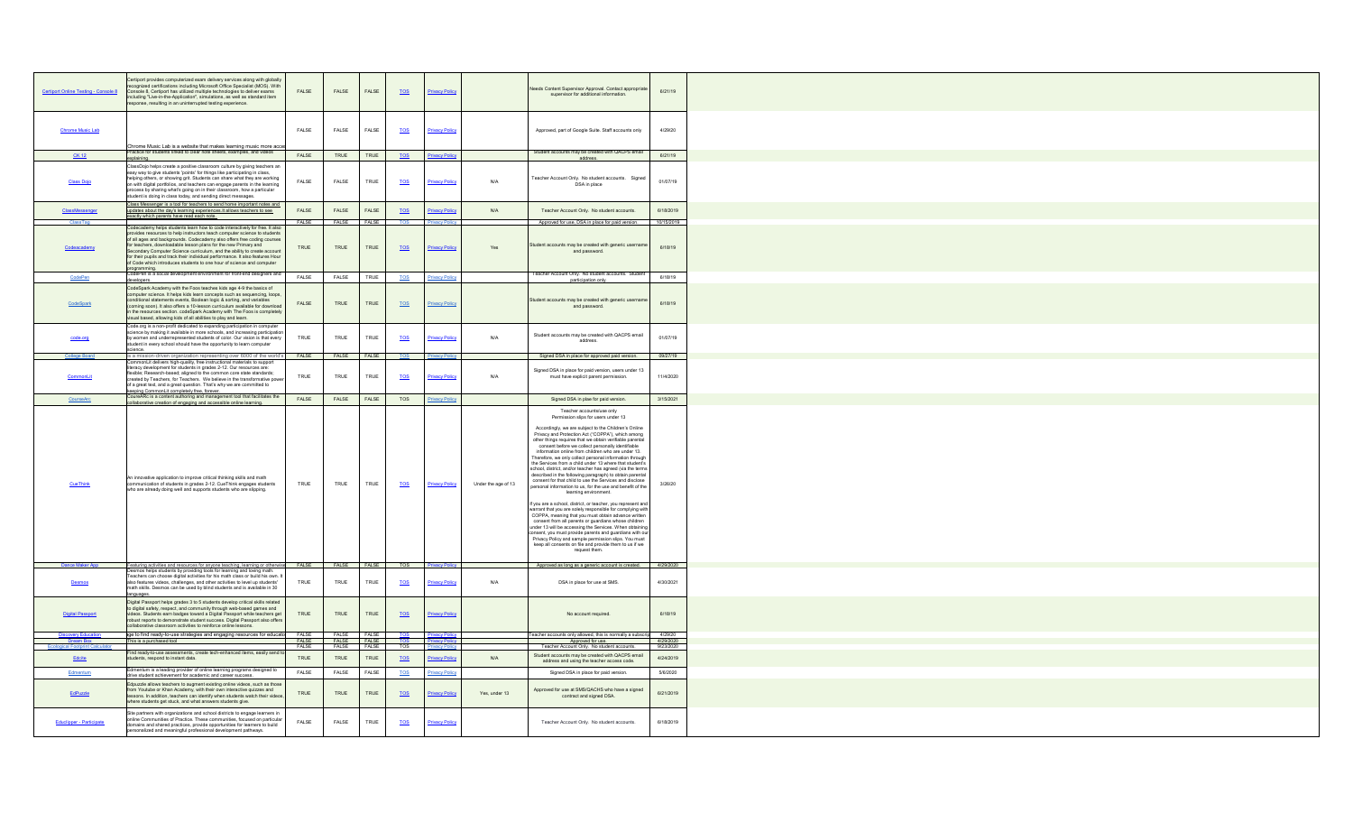| <b>Certiport Online Testing - Console 8</b>      | Certiport provides computerized exam delivery services along with globally<br>recognized certifications including Microsoft Office Specialist (MOS). With<br>Console 8, Certiport has utilized multiple technologies to deliver exams<br>including "Live-in-the-Application", simulations, as well as standard item<br>response, resulting in an uninterrupted testing experience.                                                                                                                                                                            | <b>FALSE</b>                 | <b>FALSE</b>                 | <b>FALSE</b>                 | <b>TOS</b>                     | <b>Privacy Policy</b>                          |                     | Needs Content Supervisor Approval. Contact appropriate<br>supervisor for additional information.                                                                                                                                                                                                                                                                                                                                                                                                                                                                                                                                                                                                                                                                                                                                                                                                                                                                                                                                                                                                                                                                                                                                                              | 6/21/19                |  |
|--------------------------------------------------|---------------------------------------------------------------------------------------------------------------------------------------------------------------------------------------------------------------------------------------------------------------------------------------------------------------------------------------------------------------------------------------------------------------------------------------------------------------------------------------------------------------------------------------------------------------|------------------------------|------------------------------|------------------------------|--------------------------------|------------------------------------------------|---------------------|---------------------------------------------------------------------------------------------------------------------------------------------------------------------------------------------------------------------------------------------------------------------------------------------------------------------------------------------------------------------------------------------------------------------------------------------------------------------------------------------------------------------------------------------------------------------------------------------------------------------------------------------------------------------------------------------------------------------------------------------------------------------------------------------------------------------------------------------------------------------------------------------------------------------------------------------------------------------------------------------------------------------------------------------------------------------------------------------------------------------------------------------------------------------------------------------------------------------------------------------------------------|------------------------|--|
| <b>Chrome Music Lab</b>                          | Chrome Music Lab is a website that makes learning music more acces                                                                                                                                                                                                                                                                                                                                                                                                                                                                                            | <b>FALSE</b>                 | <b>FALSE</b>                 | <b>FALSE</b>                 | <b>TOS</b>                     | <b>Privacy Policy</b>                          |                     | Approved, part of Google Suite. Staff accounts only                                                                                                                                                                                                                                                                                                                                                                                                                                                                                                                                                                                                                                                                                                                                                                                                                                                                                                                                                                                                                                                                                                                                                                                                           | 4/29/20                |  |
| CK 12                                            | Practice for students linked to clear note sheets, examples, and videos<br>explaining                                                                                                                                                                                                                                                                                                                                                                                                                                                                         | <b>FALSE</b>                 | <b>TRUE</b>                  | <b>TRUE</b>                  | <b>TOS</b>                     | <b>Privacy Policy</b>                          |                     | Student accounts may be created with QACPS email<br>address.                                                                                                                                                                                                                                                                                                                                                                                                                                                                                                                                                                                                                                                                                                                                                                                                                                                                                                                                                                                                                                                                                                                                                                                                  | 6/21/19                |  |
| <b>Class Dojo</b>                                | ClassDojo helps create a positive classroom culture by giving teachers an<br>easy way to give students 'points' for things like participating in class,<br>helping others, or showing grit. Students can share what they are working<br>on with digital portfolios, and teachers can engage parents in the learning<br>process by sharing what's going on in their classroom, how a particular<br>student is doing in class today, and sending direct messages.                                                                                               | <b>FALSE</b>                 | <b>FALSE</b>                 | <b>TRUE</b>                  | <b>TOS</b>                     | <b>Privacy Policy</b>                          | N/A                 | Teacher Account Only. No student accounts. Signed<br>DSA in place                                                                                                                                                                                                                                                                                                                                                                                                                                                                                                                                                                                                                                                                                                                                                                                                                                                                                                                                                                                                                                                                                                                                                                                             | 01/07/19               |  |
| ClassMessenger                                   | Class Messenger is a tool for teachers to send home important notes and<br>updates about the day's learning experiences. It allows teachers to see                                                                                                                                                                                                                                                                                                                                                                                                            | <b>FALSE</b>                 | <b>FALSE</b>                 | <b>FALSE</b>                 | <b>TOS</b>                     | <b>Privacy Policy</b>                          | N/A                 | Teacher Account Only. No student accounts.                                                                                                                                                                                                                                                                                                                                                                                                                                                                                                                                                                                                                                                                                                                                                                                                                                                                                                                                                                                                                                                                                                                                                                                                                    | 6/18/2019              |  |
| ClassTag                                         | exactly which parents have read each note.                                                                                                                                                                                                                                                                                                                                                                                                                                                                                                                    | <b>FALSE</b>                 | <b>FALSE</b>                 | <b>FALSE</b>                 | <b>TOS</b>                     | <b>Privacy Policy</b>                          |                     | Approved for use, DSA in place for paid version.                                                                                                                                                                                                                                                                                                                                                                                                                                                                                                                                                                                                                                                                                                                                                                                                                                                                                                                                                                                                                                                                                                                                                                                                              | 10/15/2019             |  |
| Codeacademy                                      | Codecademy helps students learn how to code interactively for free. It also<br>provides resources to help instructors teach computer science to students<br>of all ages and backgrounds. Codecademy also offers free coding courses<br>for teachers, downloadable lesson plans for the new Primary and<br>Secondary Computer Science curriculum, and the ability to create account<br>for their pupils and track their individual performance. It also features Hour<br>of Code which introduces students to one hour of science and computer<br>programming. | <b>TRUE</b>                  | <b>TRUE</b>                  | <b>TRUE</b>                  | <b>TOS</b>                     | <b>Privacy Policy</b>                          | Yes                 | Student accounts may be created with generic username<br>and password.                                                                                                                                                                                                                                                                                                                                                                                                                                                                                                                                                                                                                                                                                                                                                                                                                                                                                                                                                                                                                                                                                                                                                                                        | 6/18/19                |  |
| CodePen                                          | CodePen is a social development environment for front-end designers and<br>developers.                                                                                                                                                                                                                                                                                                                                                                                                                                                                        | <b>FALSE</b>                 | FALSE                        | <b>TRUE</b>                  | <u>TOS</u>                     | <b>Privacy Policy</b>                          |                     | Teacher Account Only. No student accounts. Student<br>participation only.                                                                                                                                                                                                                                                                                                                                                                                                                                                                                                                                                                                                                                                                                                                                                                                                                                                                                                                                                                                                                                                                                                                                                                                     | 6/18/19                |  |
| CodeSpark                                        | CodeSpark Academy with the Foos teaches kids age 4-9 the basics of<br>computer science. It helps kids learn concepts such as sequencing, loops,<br>conditional statements events, Boolean logic & sorting, and variables<br>(coming soon). It also offers a 10-lesson curriculum available for download<br>in the resources section. codeSpark Academy with The Foos is completely<br>visual based, allowing kids of all abilities to play and learn.                                                                                                         | <b>FALSE</b>                 | <b>TRUE</b>                  | <b>TRUE</b>                  | <b>TOS</b>                     | <b>Privacy Policy</b>                          |                     | Student accounts may be created with generic username<br>and password.                                                                                                                                                                                                                                                                                                                                                                                                                                                                                                                                                                                                                                                                                                                                                                                                                                                                                                                                                                                                                                                                                                                                                                                        | 6/18/19                |  |
| code.org                                         | Code.org is a non-profit dedicated to expanding participation in computer<br>science by making it available in more schools, and increasing participation<br>by women and underrepresented students of color. Our vision is that every<br>student in every school should have the opportunity to learn computer<br>science.                                                                                                                                                                                                                                   | <b>TRUE</b>                  | <b>TRUE</b>                  | <b>TRUE</b>                  | <b>TOS</b>                     | <b>Privacy Policy</b>                          | N/A                 | Student accounts may be created with QACPS email<br>address.                                                                                                                                                                                                                                                                                                                                                                                                                                                                                                                                                                                                                                                                                                                                                                                                                                                                                                                                                                                                                                                                                                                                                                                                  | 01/07/19               |  |
| <b>College Board</b>                             | is a mission-driven organization representing over 6000 of the world's<br>CommonLit delivers high-quality, free instructional materials to support                                                                                                                                                                                                                                                                                                                                                                                                            | <b>FALSE</b>                 | <b>FALSE</b>                 | <b>FALSE</b>                 | <b>TOS</b>                     | <b>Privacy Policy</b>                          |                     | Signed DSA in place for approved paid version.                                                                                                                                                                                                                                                                                                                                                                                                                                                                                                                                                                                                                                                                                                                                                                                                                                                                                                                                                                                                                                                                                                                                                                                                                | 09/27/19               |  |
| CommonLit                                        | literacy development for students in grades 2-12. Our resources are:<br>flexible; Research-based; aligned to the common core state standards;<br>created by Teachers, for Teachers. We believe in the transformative power<br>of a great text, and a great question. That's why we are committed to<br>keeping CommonLit completely free, forever.                                                                                                                                                                                                            | <b>TRUE</b>                  | <b>TRUE</b>                  | <b>TRUE</b>                  | <b>TOS</b>                     | <b>Privacy Policy</b>                          | N/A                 | Signed DSA in place for paid version, users under 13<br>must have explicit parent permission.                                                                                                                                                                                                                                                                                                                                                                                                                                                                                                                                                                                                                                                                                                                                                                                                                                                                                                                                                                                                                                                                                                                                                                 | 11/4/2020              |  |
| <b>CourseArc</b>                                 | CoureARc is a content authoring and management tool that facilitates the<br>collaborative creation of engaging and accessible online learning.                                                                                                                                                                                                                                                                                                                                                                                                                | <b>FALSE</b>                 | <b>FALSE</b>                 | <b>FALSE</b>                 | <b>TOS</b>                     | <b>Privacy Policy</b>                          |                     | Signed DSA in plae for paid version.                                                                                                                                                                                                                                                                                                                                                                                                                                                                                                                                                                                                                                                                                                                                                                                                                                                                                                                                                                                                                                                                                                                                                                                                                          | 3/15/2021              |  |
| <b>CueThink</b>                                  | An innovative application to improve critical thinking skills and math<br>communication of students in grades 2-12. CueThink engages students<br>who are already doing well and supports students who are slipping.                                                                                                                                                                                                                                                                                                                                           | <b>TRUE</b>                  | <b>TRUE</b>                  | <b>TRUE</b>                  | <u>TOS</u>                     | <b>Privacy Policy</b>                          | Under the age of 13 | Teacher accounts/use only<br>Permission slips for users under 13<br>Accordingly, we are subject to the Children's Online<br>Privacy and Protection Act ("COPPA"), which among<br>other things requires that we obtain verifiable parental<br>consent before we collect personally identifiable<br>information online from children who are under 13.<br>Therefore, we only collect personal information through<br>the Services from a child under 13 where that student's<br>school, district, and/or teacher has agreed (via the terms<br>described in the following paragraph) to obtain parental<br>consent for that child to use the Services and disclose<br>personal information to us, for the use and benefit of the<br>learning environment.<br>If you are a school, district, or teacher, you represent and<br>warrant that you are solely responsible for complying with<br>COPPA, meaning that you must obtain advance written<br>consent from all parents or guardians whose children<br>under 13 will be accessing the Services. When obtaining<br>consent, you must provide parents and guardians with our<br>Privacy Policy and sample permission slips. You must<br>keep all consents on file and provide them to us if we<br>request them. | 3/26/20                |  |
| Dance Maker App                                  | Featuring activities and resources for anyone teaching, learning or otherwise<br>Desmos helps students by providing tools for learning and loving math.                                                                                                                                                                                                                                                                                                                                                                                                       | <b>FALSE</b>                 | <b>FALSE</b>                 | <b>FALSE</b>                 | <b>TOS</b>                     | <b>Privacy Policy</b>                          |                     | Approved as long as a generic account is created.                                                                                                                                                                                                                                                                                                                                                                                                                                                                                                                                                                                                                                                                                                                                                                                                                                                                                                                                                                                                                                                                                                                                                                                                             | 4/29/2020              |  |
| <b>Desmos</b>                                    | Teachers can choose digital activities for his math class or build his own. It<br>also features videos, challenges, and other activities to level up students'<br>math skills. Desmos can be used by blind students and is available in 30<br>languages.                                                                                                                                                                                                                                                                                                      | <b>TRUE</b>                  | <b>TRUE</b>                  | <b>TRUE</b>                  | <b>TOS</b>                     | <b>Privacy Policy</b>                          | N/A                 | DSA in place for use at SMS.                                                                                                                                                                                                                                                                                                                                                                                                                                                                                                                                                                                                                                                                                                                                                                                                                                                                                                                                                                                                                                                                                                                                                                                                                                  | 4/30/2021              |  |
| <b>Digital Passport</b>                          | Digital Passport helps grades 3 to 5 students develop critical skills related<br>to digital safety, respect, and community through web-based games and<br>videos. Students earn badges toward a Digital Passport while teachers get<br>robust reports to demonstrate student success. Digital Passport also offers<br>collaborative classroom activities to reinforce online lessons.                                                                                                                                                                         | <b>TRUE</b>                  | <b>TRUE</b>                  | <b>TRUE</b>                  | <b>TOS</b>                     | <b>Privacy Policy</b>                          |                     | No account required                                                                                                                                                                                                                                                                                                                                                                                                                                                                                                                                                                                                                                                                                                                                                                                                                                                                                                                                                                                                                                                                                                                                                                                                                                           | 6/18/19                |  |
| <b>Discovery Education</b><br><b>Dream Box</b>   | age to find ready-to-use strategies and engaging resources for educato<br>This is a purchased tool                                                                                                                                                                                                                                                                                                                                                                                                                                                            | <b>FALSE</b><br><b>FALSE</b> | <b>FALSE</b><br><b>FALSE</b> | <b>FALSE</b><br><b>FALSE</b> | <b>TOS</b><br><b>TOS</b>       | <b>Privacy Policy</b><br><b>Privacy Policy</b> |                     | Teacher accounts only allowed, this is normally a subscrip<br>Approved for use.                                                                                                                                                                                                                                                                                                                                                                                                                                                                                                                                                                                                                                                                                                                                                                                                                                                                                                                                                                                                                                                                                                                                                                               | 4/29/20<br>4/29/2020   |  |
| <b>Ecological Footprint Calculator</b><br>Edcite | Find ready-to-use assessments, create tech-enhanced items, easily send to<br>students, respond to instant data.                                                                                                                                                                                                                                                                                                                                                                                                                                               | <b>FALSE</b><br><b>TRUE</b>  | <b>FALSE</b><br><b>TRUE</b>  | <b>FALSE</b><br><b>TRUE</b>  | $\overline{TOS}$<br><b>TOS</b> | <b>Privacy Policy</b><br><b>Privacy Policy</b> | N/A                 | Teacher Account Only. No student accounts.<br>Student accounts may be created with QACPS email<br>address and using the teacher access code.                                                                                                                                                                                                                                                                                                                                                                                                                                                                                                                                                                                                                                                                                                                                                                                                                                                                                                                                                                                                                                                                                                                  | 9/23/2020<br>4/24/2019 |  |
| Edmentum                                         | Edmentum is a leading provider of online learning programs designed to<br>drive student achievement for academic and career success.                                                                                                                                                                                                                                                                                                                                                                                                                          | <b>FALSE</b>                 | <b>FALSE</b>                 | <b>FALSE</b>                 | <b>TOS</b>                     | <b>Privacy Policy</b>                          |                     | Signed DSA in place for paid version.                                                                                                                                                                                                                                                                                                                                                                                                                                                                                                                                                                                                                                                                                                                                                                                                                                                                                                                                                                                                                                                                                                                                                                                                                         | 5/6/2020               |  |
| <b>EdPuzzle</b>                                  | Edpuzzle allows teachers to augment existing online videos, such as those<br>from Youtube or Khan Academy, with their own interactive quizzes and<br>lessons. In addition, teachers can identify when students watch their videos,<br>where students get stuck, and what answers students give.                                                                                                                                                                                                                                                               | <b>TRUE</b>                  | <b>TRUE</b>                  | <b>TRUE</b>                  | <b>TOS</b>                     | <b>Privacy Policy</b>                          | Yes, under 13       | Approved for use at SMS/QACHS who have a signed<br>contract and signed DSA.                                                                                                                                                                                                                                                                                                                                                                                                                                                                                                                                                                                                                                                                                                                                                                                                                                                                                                                                                                                                                                                                                                                                                                                   | 6/21/2019              |  |
| <b>Educlipper - Participate</b>                  | Site partners with organizations and school districts to engage learners in<br>online Communities of Practice. These communities, focused on particular<br>domains and shared practices, provide opportunities for learners to build<br>personalized and meaningful professional development pathways.                                                                                                                                                                                                                                                        | <b>FALSE</b>                 | <b>FALSE</b>                 | <b>TRUE</b>                  | <b>TOS</b>                     | <b>Privacy Policy</b>                          |                     | Teacher Account Only. No student accounts.                                                                                                                                                                                                                                                                                                                                                                                                                                                                                                                                                                                                                                                                                                                                                                                                                                                                                                                                                                                                                                                                                                                                                                                                                    | 6/18/2019              |  |



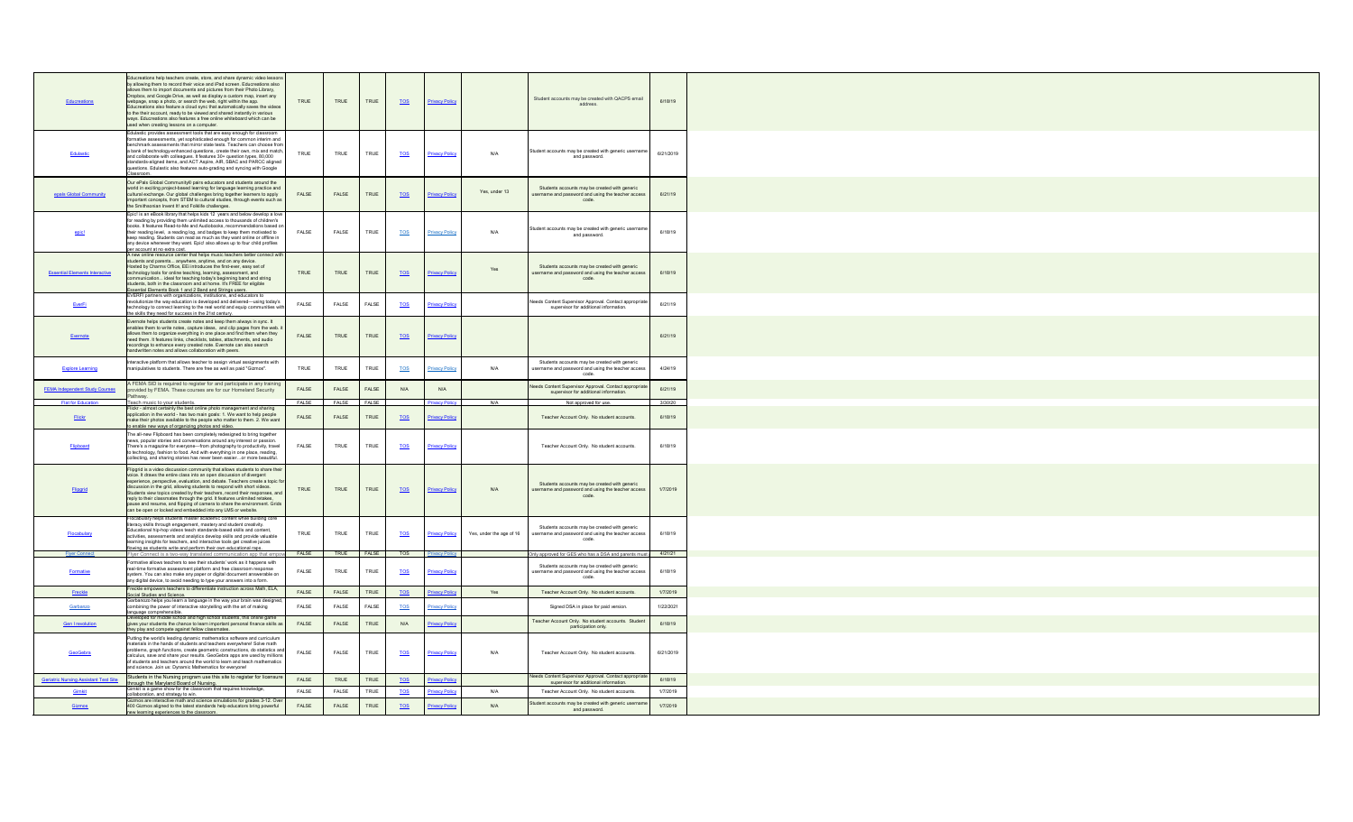| Educreations                                 | Educreations help teachers create, store, and share dynamic video lessons<br>by allowing them to record their voice and iPad screen. Educreations also<br>allows them to import documents and pictures from their Photo Library,<br>Dropbox, and Google Drive, as well as display a custom map, insert any<br>webpage, snap a photo, or search the web, right within the app.<br>Educreations also feature a cloud sync that automatically saves the videos<br>to the their account, ready to be viewed and shared instantly in various<br>ways. Educreations also features a free online whiteboard which can be<br>used when creating lessons on a computer. | <b>TRUE</b>  | <b>TRUE</b>  | <b>TRUE</b>  | <b>TOS</b> | <b>Privacy Policy</b> |                          | Student accounts may be created with QACPS email<br>address.                                                 | 6/18/19   |  |
|----------------------------------------------|----------------------------------------------------------------------------------------------------------------------------------------------------------------------------------------------------------------------------------------------------------------------------------------------------------------------------------------------------------------------------------------------------------------------------------------------------------------------------------------------------------------------------------------------------------------------------------------------------------------------------------------------------------------|--------------|--------------|--------------|------------|-----------------------|--------------------------|--------------------------------------------------------------------------------------------------------------|-----------|--|
| <b>Edulastic</b>                             | Edulastic provides assessment tools that are easy enough for classroom<br>formative assessments, yet sophisticated enough for common interim and<br>benchmark assessments that mirror state tests. Teachers can choose from<br>a bank of technology-enhanced questions, create their own, mix and match,<br>and collaborate with colleagues. It features 30+ question types, 80,000<br>standards-aligned items, and ACT Aspire, AIR, SBAC and PARCC aligned<br>questions. Edulastic also features auto-grading and syncing with Google<br>Classroom.                                                                                                           | <b>TRUE</b>  | <b>TRUE</b>  | <b>TRUE</b>  | <b>TOS</b> | <b>Privacy Policy</b> | N/A                      | Student accounts may be created with generic username<br>and password.                                       | 6/21/2019 |  |
| epals Global Community                       | Our ePals Global Community® pairs educators and students around the<br>world in exciting project-based learning for language learning practice and<br>cultural exchange. Our global challenges bring together learners to apply<br>important concepts, from STEM to cultural studies, through events such as<br>the Smithsonian Invent It! and Folklife challenges.                                                                                                                                                                                                                                                                                            | <b>FALSE</b> | <b>FALSE</b> | <b>TRUE</b>  | <b>TOS</b> | <b>Privacy Policy</b> | Yes, under 13            | Students accounts may be created with generic<br>username and password and using the teacher access<br>code. | 6/21/19   |  |
| epic!                                        | Epic! is an eBook library that helps kids 12 years and below develop a love<br>for reading by providing them unlimited access to thousands of children's<br>books. It features Read-to-Me and Audiobooks, recommendations based on<br>their reading level, a reading log, and badges to keep them motivated to<br>keep reading. Students can read as much as they want online or offline in<br>any device whenever they want. Epic! also allows up to four child profiles<br>per account at no extra cost.                                                                                                                                                     | <b>FALSE</b> | <b>FALSE</b> | <b>TRUE</b>  | <b>TOS</b> | <b>Privacy Policy</b> | N/A                      | Student accounts may be created with generic username<br>and password.                                       | 6/18/19   |  |
| <b>Essential Elements Interactive</b>        | A new online resource center that helps music teachers better connect with<br>students and parents anywhere, anytime, and on any device.<br>Hosted by Charms Office, EEi introduces the first-ever, easy set of<br>technology tools for online teaching, learning, assessment, and<br>communication ideal for teaching today's beginning band and string<br>students, both in the classroom and at home. It's FREE for eligible<br>Essential Elements Book 1 and 2 Band and Strings users.                                                                                                                                                                     | <b>TRUE</b>  | <b>TRUE</b>  | <b>TRUE</b>  | <b>TOS</b> | <b>Privacy Policy</b> | Yes                      | Students accounts may be created with generic<br>username and password and using the teacher access<br>code. | 6/18/19   |  |
| <b>EverFi</b>                                | EVERFI partners with organizations, institutions, and educators to<br>revolutionize the way education is developed and delivered-using today's<br>technology to connect learning to the real world and equip communities with<br>the skills they need for success in the 21st century.                                                                                                                                                                                                                                                                                                                                                                         | <b>FALSE</b> | <b>FALSE</b> | <b>FALSE</b> | <b>TOS</b> | <b>Privacy Policy</b> |                          | Needs Content Supervisor Approval. Contact appropriate<br>supervisor for additional information.             | 6/21/19   |  |
| Evernote                                     | Evernote helps students create notes and keep them always in sync. It<br>enables them to write notes, capture ideas, and clip pages from the web. it<br>allows them to organize everything in one place and find them when they<br>need them. It features links, checklists, tables, attachments, and audio<br>recordings to enhance every created note. Evernote can also search<br>handwritten notes and allows collaboration with peers.                                                                                                                                                                                                                    | <b>FALSE</b> | <b>TRUE</b>  | <b>TRUE</b>  | <b>TOS</b> | <b>Privacy Policy</b> |                          |                                                                                                              | 6/21/19   |  |
| <b>Explore Learning</b>                      | Interactive platform that allows teacher to assign virtual assignments with<br>manipulatives to students. There are free as well as paid "Gizmos".                                                                                                                                                                                                                                                                                                                                                                                                                                                                                                             | <b>TRUE</b>  | <b>TRUE</b>  | <b>TRUE</b>  | <b>TOS</b> | <b>Privacy Policy</b> | N/A                      | Students accounts may be created with generic<br>username and password and using the teacher access<br>code. | 4/24/19   |  |
| <b>FEMA Independent Study Courses</b>        | A FEMA SID is required to register for and participate in any training<br>provided by FEMA. These courses are for our Homeland Security<br>Pathway.                                                                                                                                                                                                                                                                                                                                                                                                                                                                                                            | <b>FALSE</b> | <b>FALSE</b> | <b>FALSE</b> | N/A        | N/A                   |                          | Needs Content Supervisor Approval. Contact appropriate<br>supervisor for additional information.             | 6/21/19   |  |
| <b>Flat for Education</b>                    | Teach music to your students.                                                                                                                                                                                                                                                                                                                                                                                                                                                                                                                                                                                                                                  | <b>FALSE</b> | <b>FALSE</b> | <b>FALSE</b> |            | <b>Privacy Policy</b> | N/A                      | Not approved for use.                                                                                        | 3/30/20   |  |
| <b>Flickr</b>                                | Flickr - almost certainly the best online photo management and sharing<br>application in the world - has two main goals: 1. We want to help people<br>make their photos available to the people who matter to them. 2. We want<br>to enable new ways of organizing photos and video.                                                                                                                                                                                                                                                                                                                                                                           | <b>FALSE</b> | <b>FALSE</b> | <b>TRUE</b>  | <b>TOS</b> | <b>Privacy Policy</b> |                          | Teacher Account Only. No student accounts.                                                                   | 6/18/19   |  |
| <b>Flipboard</b>                             | The all-new Flipboard has been completely redesigned to bring together<br>news, popular stories and conversations around any interest or passion.<br>There's a magazine for everyone—from photography to productivity, travel<br>to technology, fashion to food. And with everything in one place, reading,<br>collecting, and sharing stories has never been easieror more beautiful.                                                                                                                                                                                                                                                                         | <b>FALSE</b> | <b>TRUE</b>  | <b>TRUE</b>  | <b>TOS</b> | <b>Privacy Policy</b> |                          | Teacher Account Only. No student accounts.                                                                   | 6/18/19   |  |
| <b>Flipgrid</b>                              | Flipgrid is a video discussion community that allows students to share their<br>voice. It draws the entire class into an open discussion of divergent<br>experience, perspective, evaluation, and debate. Teachers create a topic for<br>discussion in the grid, allowing students to respond with short videos.<br>Students view topics created by their teachers, record their responses, and<br>reply to their classmates through the grid. It features unlimited retakes,<br>pause and resume, and flipping of camera to share the environment. Grids<br>can be open or locked and embedded into any LMS or website.                                       | TRUE         | <b>TRUE</b>  | <b>TRUE</b>  | <u>TOS</u> | <b>Privacy Policy</b> | N/A                      | Students accounts may be created with generic<br>username and password and using the teacher access<br>code  | 1/7/2019  |  |
| <b>Flocabulary</b>                           | Flocabulary helps students master academic content while building core<br>literacy skills through engagement, mastery and student creativity.<br>Educational hip-hop videos teach standards-based skills and content,<br>activities, assessments and analytics develop skills and provide valuable<br>learning insights for teachers, and interactive tools get creative juices<br>flowing as students write and perform their own educational raps.                                                                                                                                                                                                           | <b>TRUE</b>  | <b>TRUE</b>  | <b>TRUE</b>  | <b>TOS</b> | <b>Privacy Policy</b> | Yes, under the age of 16 | Students accounts may be created with generic<br>username and password and using the teacher access<br>code. | 6/18/19   |  |
| <b>Flyer Connect</b>                         | Flyer Connect is a two-way translated communication app that empo                                                                                                                                                                                                                                                                                                                                                                                                                                                                                                                                                                                              | <b>FALSE</b> | <b>TRUE</b>  | <b>FALSE</b> | <b>TOS</b> | <b>Privacy Policy</b> |                          | Only approved for GES who has a DSA and parents must                                                         | 4/21/21   |  |
| <b>Formative</b>                             | Formative allows teachers to see their students' work as it happens with<br>real-time formative assessment platform and free classroom response<br>system. You can also make any paper or digital document answerable on<br>any digital device, to avoid needing to type your answers into a form.                                                                                                                                                                                                                                                                                                                                                             | <b>FALSE</b> | <b>TRUE</b>  | <b>TRUE</b>  | <b>TOS</b> | <b>Privacy Policy</b> |                          | Students accounts may be created with generic<br>username and password and using the teacher access<br>code  | 6/18/19   |  |
| <b>Freckle</b>                               | Freckle empowers teachers to differentiate instruction across Math, ELA,<br>Social Studies and Science.                                                                                                                                                                                                                                                                                                                                                                                                                                                                                                                                                        | <b>FALSE</b> | <b>FALSE</b> | <b>TRUE</b>  | <b>TOS</b> | <b>Privacy Policy</b> | Yes                      | Teacher Account Only. No student accounts.                                                                   | 1/7/2019  |  |
| <u>Garbanzo</u>                              | Garbanozo helps you learn a language in the way your brain was designed,<br>combining the power of interactive storytelling with the art of making<br>language comprehensible.                                                                                                                                                                                                                                                                                                                                                                                                                                                                                 | <b>FALSE</b> | <b>FALSE</b> | <b>FALSE</b> | <u>TOS</u> | <b>Privacy Policy</b> |                          | Signed DSA in place for paid version.                                                                        | 1/22/2021 |  |
| <b>Gen I revolution</b>                      | Developed for middle school and high school students, this online game<br>gives your students the chance to learn important personal finance skills as<br>they play and compete against fellow classmates.                                                                                                                                                                                                                                                                                                                                                                                                                                                     | <b>FALSE</b> | <b>FALSE</b> | <b>TRUE</b>  | N/A        | <b>Privacy Policy</b> |                          | Teacher Account Only. No student accounts. Student<br>participation only.                                    | 6/18/19   |  |
| GeoGebra                                     | Putting the world's leading dynamic mathematics software and curriculum<br>materials in the hands of students and teachers everywhere! Solve math<br>problems, graph functions, create geometric constructions, do statistics and<br>calculus, save and share your results. GeoGebra apps are used by millions<br>of students and teachers around the world to learn and teach mathematics<br>and science. Join us: Dynamic Mathematics for everyone!                                                                                                                                                                                                          | <b>FALSE</b> | <b>FALSE</b> | <b>TRUE</b>  | <b>TOS</b> | <b>Privacy Policy</b> | N/A                      | Teacher Account Only. No student accounts.                                                                   | 6/21/2019 |  |
| <b>Geriatric Nursing Assistant Test Site</b> | Students in the Nursing program use this site to register for licensure<br>through the Maryland Board of Nursing.                                                                                                                                                                                                                                                                                                                                                                                                                                                                                                                                              | <b>FALSE</b> | <b>TRUE</b>  | <b>TRUE</b>  | <b>TOS</b> | <b>Privacy Policy</b> |                          | Needs Content Supervisor Approval. Contact appropriate<br>supervisor for additional information.             | 6/18/19   |  |
| <b>Gimkit</b>                                | Gimkit is a game show for the classroom that requires knowledge,                                                                                                                                                                                                                                                                                                                                                                                                                                                                                                                                                                                               | <b>FALSE</b> | <b>FALSE</b> | <b>TRUE</b>  | <u>TOS</u> | <b>Privacy Policy</b> | N/A                      | Teacher Account Only. No student accounts.                                                                   | 1/7/2019  |  |
|                                              | collaboration, and strategy to win.<br>Gizmos are interactive math and science simulations for grades 3-12. Over                                                                                                                                                                                                                                                                                                                                                                                                                                                                                                                                               |              |              |              |            |                       |                          | Student accounts may be created with generic username                                                        |           |  |
| Gizmos                                       | 400 Gizmos aligned to the latest standards help educators bring powerful<br>new learning experiences to the classroom.                                                                                                                                                                                                                                                                                                                                                                                                                                                                                                                                         | <b>FALSE</b> | <b>FALSE</b> | <b>TRUE</b>  | <b>TOS</b> | <b>Privacy Policy</b> | N/A                      | and password.                                                                                                | 1/7/2019  |  |

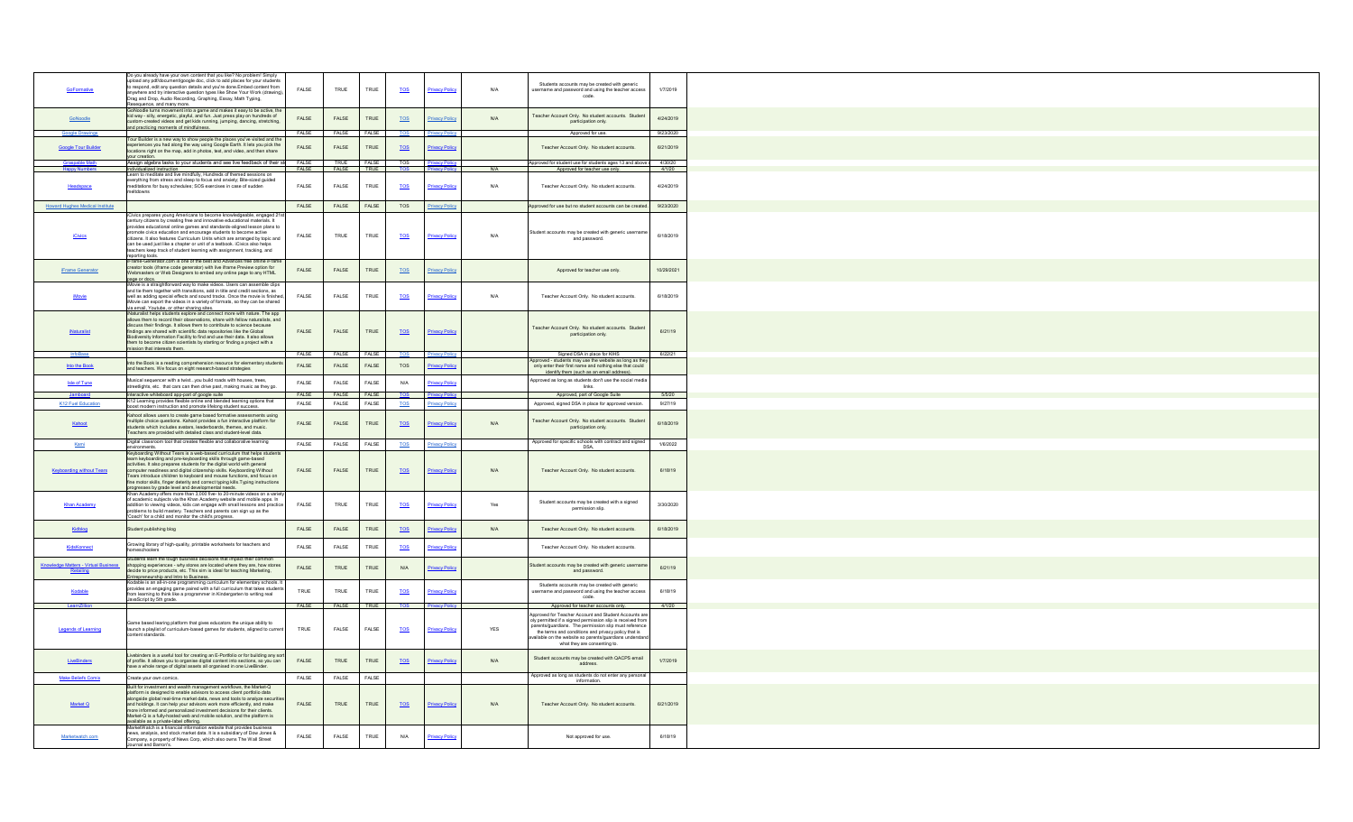| GoFormative                                              | Do you already have your own content that you like? No problem! Simply<br>upload any pdf/document/google doc, click to add places for your students<br>to respond, edit any question details and you're done.Embed content from<br>anywhere and try interactive question types like Show Your Work (drawing),<br>Drag and Drop, Audio Recording, Graphing, Essay, Math Typing,<br>Resequence, and many more.                                                                                                                                                    | <b>FALSE</b>          | <b>TRUE</b>          | <b>TRUE</b>                  | <b>TOS</b>               | <b>Privacy Policy</b>                          | N/A        | Students accounts may be created with generic<br>username and password and using the teacher access<br>code.                                                                                                                                                                                                                    | 1/7/2019          |  |
|----------------------------------------------------------|-----------------------------------------------------------------------------------------------------------------------------------------------------------------------------------------------------------------------------------------------------------------------------------------------------------------------------------------------------------------------------------------------------------------------------------------------------------------------------------------------------------------------------------------------------------------|-----------------------|----------------------|------------------------------|--------------------------|------------------------------------------------|------------|---------------------------------------------------------------------------------------------------------------------------------------------------------------------------------------------------------------------------------------------------------------------------------------------------------------------------------|-------------------|--|
| GoNoodle                                                 | GoNoodle turns movement into a game and makes it easy to be active, the<br>kid way - silly, energetic, playful, and fun. Just press play on hundreds of<br>custom-created videos and get kids running, jumping, dancing, stretching,<br>and practicing moments of mindfulness.                                                                                                                                                                                                                                                                                  | FALSE                 | FALSE                | <b>TRUE</b>                  | <b>TOS</b>               | <b>Privacy Policy</b>                          | N/A        | Teacher Account Only. No student accounts. Student<br>participation only.                                                                                                                                                                                                                                                       | 4/24/2019         |  |
| <b>Google Drawings</b>                                   | Tour Builder is a new way to show people the places you've visited and the                                                                                                                                                                                                                                                                                                                                                                                                                                                                                      | <b>FALSE</b>          | <b>FALSE</b>         | <b>FALSE</b>                 | TOS <b>T</b>             | <b>Privacy Policy</b>                          |            | Approved for use.                                                                                                                                                                                                                                                                                                               | 9/23/2020         |  |
| <b>Google Tour Builder</b>                               | experiences you had along the way using Google Earth. It lets you pick the<br>locations right on the map, add in photos, text, and video, and then share<br>vour creation.                                                                                                                                                                                                                                                                                                                                                                                      | FALSE                 | FALSE                | <b>TRUE</b>                  | $\underline{TOS}$        | <b>Privacy Policy</b>                          |            | Teacher Account Only. No student accounts.                                                                                                                                                                                                                                                                                      | 6/21/2019         |  |
| <b>Graspable Math</b><br><b>Happy Numbers</b>            | Assign algebra tasks to your students and see live feedback of their st<br>Individualized instruction                                                                                                                                                                                                                                                                                                                                                                                                                                                           | FALSE<br>FALSE        | <b>TRUE</b><br>FALSE | <b>FALSE</b><br><b>TRUE</b>  | <b>TOS</b><br><b>TOS</b> | <b>Privacy Policy</b><br><b>Privacy Policy</b> | N/A        | Approved for student use for students ages 13 and above<br>Approved for teacher use only.                                                                                                                                                                                                                                       | 4/30/20<br>4/1/20 |  |
| Headspace                                                | Learn to meditate and live mindfully, Hundreds of themed sessions on<br>everything from stress and sleep to focus and anxiety; Bite-sized guided<br>meditations for busy schedules; SOS exercises in case of sudden<br>neltdowns                                                                                                                                                                                                                                                                                                                                | <b>FALSE</b>          | FALSE                | <b>TRUE</b>                  | <b>TOS</b>               | <b>Privacy Policy</b>                          | N/A        | Teacher Account Only. No student accounts.                                                                                                                                                                                                                                                                                      | 4/24/2019         |  |
| <b>Howard Hughes Medical Institute</b>                   |                                                                                                                                                                                                                                                                                                                                                                                                                                                                                                                                                                 | <b>FALSE</b>          | FALSE                | <b>FALSE</b>                 | <b>TOS</b>               | <b>Privacy Policy</b>                          |            | Approved for use but no student accounts can be created.                                                                                                                                                                                                                                                                        | 9/23/2020         |  |
| <u>iCivics</u>                                           | ciclivics prepares young Americans to become knowledgeable, engaged 21st<br>century citizens by creating free and innovative educational materials. It<br>provides educational online games and standards-aligned lesson plans to<br>promote civics education and encourage students to become active<br>citizens. It also features Curriculum Units which are arranged by topic and<br>can be used just like a chapter or unit of a textbook. iCivics also helps<br>teachers keep track of student learning with assignment, tracking, and<br>reporting tools. | <b>FALSE</b>          | <b>TRUE</b>          | <b>TRUE</b>                  | <b>TOS</b>               | <b>Privacy Policy</b>                          | N/A        | Student accounts may be created with generic username<br>and password.                                                                                                                                                                                                                                                          | 6/18/2019         |  |
| <b>iFrame Generator</b>                                  | Frame-Generator.com is one of the best and Advances free online iFrame<br>creator tools (iframe code generator) with live iframe Preview option for<br>Webmasters or Web Designers to embed any online page to any HTML<br>page or docs.                                                                                                                                                                                                                                                                                                                        | FALSE                 | FALSE                | <b>TRUE</b>                  | $\underline{\text{TOS}}$ | <b>Privacy Policy</b>                          |            | Approved for teacher use only.                                                                                                                                                                                                                                                                                                  | 10/29/2021        |  |
| <b>iMovie</b>                                            | iMovie is a straightforward way to make videos. Users can assemble clips<br>and tie them together with transitions, add in title and credit sections, as<br>well as adding special effects and sound tracks. Once the movie is finished,<br>iMovie can export the videos in a variety of formats, so they can be shared<br>via email, Youtube, or other sharing sites.                                                                                                                                                                                          | <b>FALSE</b>          | FALSE                | <b>TRUE</b>                  | <b>TOS</b>               | <b>Privacy Policy</b>                          | N/A        | Teacher Account Only. No student accounts.                                                                                                                                                                                                                                                                                      | 6/18/2019         |  |
| <u>iNaturalist</u>                                       | iNaturalist helps students explore and connect more with nature. The app<br>allows them to record their observations, share with fellow naturalists, and<br>discuss their findings. It allows them to contribute to science because<br>findings are shared with scientific data repositories like the Global<br>Biodiversity Information Facility to find and use their data. It also allows<br>them to become citizen scientists by starting or finding a project with a<br>mission that interests them.                                                       | FALSE                 | FALSE                | <b>TRUE</b>                  | <b>TOS</b>               | <b>Privacy Policy</b>                          |            | Teacher Account Only. No student accounts. Student<br>participation only.                                                                                                                                                                                                                                                       | 6/21/19           |  |
| <b>InfoBase</b>                                          | Into the Book is a reading comprehension resource for elementary students                                                                                                                                                                                                                                                                                                                                                                                                                                                                                       | <b>FALSE</b>          | FALSE                | <b>FALSE</b>                 | <b>TOS</b>               | <b>Privacy Policy</b>                          |            | Signed DSA in place for KIHS<br>Approved - students may use the website as long as they                                                                                                                                                                                                                                         | 6/22/21           |  |
| <u>Into the Book</u><br><b>Isle of Tune</b>              | and teachers. We focus on eight research-based strategies<br>Musical sequencer with a twistyou build roads with houses, trees,                                                                                                                                                                                                                                                                                                                                                                                                                                  | FALSE<br><b>FALSE</b> | FALSE<br>FALSE       | <b>FALSE</b><br><b>FALSE</b> | <b>TOS</b><br>N/A        | <b>Privacy Policy</b><br><b>Privacy Policy</b> |            | only enter their first name and nothing else that could<br>identify them (such as an email address).<br>Approved as long as students don't use the social media                                                                                                                                                                 |                   |  |
| <u>Jamboard</u>                                          | treetlights, etc. that cars can then drive past, making music as they go.<br>Interactive whiteboard app-part of google suite                                                                                                                                                                                                                                                                                                                                                                                                                                    | <b>FALSE</b>          | FALSE                | <b>FALSE</b>                 | <b>TOS</b>               | <b>Privacy Policy</b>                          |            | links.<br>Approved, part of Google Suite                                                                                                                                                                                                                                                                                        | 5/5/20            |  |
| <b>K12 Fuel Education</b>                                | K12 Learning provides flexible online and blended learning options that<br>boost modern instruction and promote lifelong student success.                                                                                                                                                                                                                                                                                                                                                                                                                       | FALSE                 | FALSE                | <b>FALSE</b>                 | <b>TOS</b>               | <b>Privacy Policy</b>                          |            | Approved, signed DSA in place for approved version.                                                                                                                                                                                                                                                                             | 9/27/19           |  |
| <u>Kahoot</u>                                            | Kahoot allows users to create game based formative assessments using<br>multiple choice questions. Kahoot provides a fun interactive platform for<br>students which includes avatars, leaderboards, themes, and music.<br>Teachers are provided with detailed class and student-level data.                                                                                                                                                                                                                                                                     | <b>FALSE</b>          | FALSE                | <b>TRUE</b>                  | <b>TOS</b>               | <b>Privacy Policy</b>                          | N/A        | Teacher Account Only. No student accounts. Student<br>participation only.                                                                                                                                                                                                                                                       | 6/18/2019         |  |
| <u>Kami</u>                                              | Digital classroom tool that creates flexible and collaborative learning<br>environments.                                                                                                                                                                                                                                                                                                                                                                                                                                                                        | <b>FALSE</b>          | FALSE                | <b>FALSE</b>                 | <b>TOS</b>               | <b>Privacy Policy</b>                          |            | Approved for specific schools with contract and signed<br>DSA,                                                                                                                                                                                                                                                                  | 1/6/2022          |  |
| <b>Keyboarding without Tears</b>                         | Keyboarding Without Tears is a web-based curriculum that helps students<br>learn keyboarding and pre-keyboarding skills through game-based<br>activities. It also prepares students for the digital world with general<br>computer readiness and digital citizenship skills. Keyboarding Without<br>Tears introduce children to keyboard and mouse functions, and focus on<br>fine motor skills, finger deterity and correct typing kills. Typing instructions<br>progresses by grade level and developmental needs.                                            | FALSE                 | FALSE                | <b>TRUE</b>                  | <b>TOS</b>               | <b>Privacy Policy</b>                          | N/A        | Teacher Account Only. No student accounts.                                                                                                                                                                                                                                                                                      | 6/18/19           |  |
| <b>Khan Academy</b>                                      | Khan Academy offers more than 3,000 five- to 20-minute videos on a variety<br>of academic subjects via the Khan Academy website and mobile apps. In<br>addition to viewing videos, kids can engage with small lessons and practice  <br>problems to build mastery. Teachers and parents can sign up as the<br>'Coach' for a child and monitor the child's progress.                                                                                                                                                                                             | <b>FALSE</b>          | <b>TRUE</b>          | <b>TRUE</b>                  | <b>TOS</b>               | <b>Privacy Policy</b>                          | Yes        | Student accounts may be created with a signed<br>permission slip.                                                                                                                                                                                                                                                               | 3/30/2020         |  |
| Kidblog                                                  | Student publishing blog                                                                                                                                                                                                                                                                                                                                                                                                                                                                                                                                         | <b>FALSE</b>          | FALSE                | <b>TRUE</b>                  | <b>TOS</b>               | <b>Privacy Policy</b>                          | N/A        | Teacher Account Only. No student accounts.                                                                                                                                                                                                                                                                                      | 6/18/2019         |  |
| <b>KidsKonnect</b>                                       | Growing library of high-quality, printable worksheets for teachers and<br><b>nomeschoolers</b>                                                                                                                                                                                                                                                                                                                                                                                                                                                                  | <b>FALSE</b>          | FALSE                | <b>TRUE</b>                  | <b>TOS</b>               | <b>Privacy Policy</b>                          |            | Teacher Account Only. No student accounts.                                                                                                                                                                                                                                                                                      |                   |  |
| <b>Knowledge Matters - Virtual Business</b><br>Retailing | Students learn the tough business decisions that impact their common<br>shopping experiences - why stores are located where they are, how stores<br>decide to price products, etc. This sim is ideal for teaching Marketing,<br>Entrepreneurship and Intro to Business.                                                                                                                                                                                                                                                                                         | FALSE                 | TRUE                 | <b>TRUE</b>                  | N/A                      | <b>Privacy Policy</b>                          |            | Student accounts may be created with generic username<br>and password.                                                                                                                                                                                                                                                          | 6/21/19           |  |
| Kodable                                                  | Kodable is an all-in-one programming curriculum for elementary schools. It<br>provides an engaging game paired with a full curriculum that takes students<br>from learning to think like a programmer in Kindergarten to writing real<br>JavaScript by 5th grade.                                                                                                                                                                                                                                                                                               | <b>TRUE</b>           | <b>TRUE</b>          | <b>TRUE</b>                  | <b>TOS</b>               | <b>Privacy Policy</b>                          |            | Students accounts may be created with generic<br>username and password and using the teacher access<br>code.                                                                                                                                                                                                                    | 6/18/19           |  |
| LearnZillion                                             |                                                                                                                                                                                                                                                                                                                                                                                                                                                                                                                                                                 | <b>FALSE</b>          | FALSE                | TRUE                         | <b>TOS</b>               | <b>Privacy Policy</b>                          |            | Approved for teacher accounts only.                                                                                                                                                                                                                                                                                             | 4/1/20            |  |
| <b>Legends of Learning</b>                               | Game based learing platform that gives educators the unique ability to<br> launch a playlist of curriculum-based games for students, aligned to current  <br>content standards.                                                                                                                                                                                                                                                                                                                                                                                 | <b>TRUE</b>           | FALSE                | <b>FALSE</b>                 | <b>TOS</b>               | <b>Privacy Policy</b>                          | <b>YES</b> | Approved for Teacher Account and Student Accounts are<br>oly permitted if a signed permission slip is received from<br>parents/guardians. The permission slip must reference<br>the terms and conditions and privacy policy that is<br>available on the website so parents/guardians understand<br>what they are consenting to. |                   |  |
| LiveBinders                                              | Livebinders is a useful tool for creating an E-Portfolio or for building any sort<br>of profile. It allows you to organise digital content into sections, so you can<br>have a whole range of digital assets all organised in one LiveBinder.                                                                                                                                                                                                                                                                                                                   | FALSE                 | TRUE                 | <b>TRUE</b>                  | <b>TOS</b>               | <b>Privacy Policy</b>                          | N/A        | Student accounts may be created with QACPS email<br>address.                                                                                                                                                                                                                                                                    | 1/7/2019          |  |
| <b>Make Beliefs Comix</b>                                | Create your own comics.                                                                                                                                                                                                                                                                                                                                                                                                                                                                                                                                         | <b>FALSE</b>          | FALSE                | <b>FALSE</b>                 |                          |                                                |            | Approved as long as students do not enter any personal<br>information.                                                                                                                                                                                                                                                          |                   |  |
| Market Q                                                 | Built for investment and wealth management workflows, the Market-Q<br>platform is designed to enable advisors to access client portfolio data<br>alongside global real-time market data, news and tools to analyze securities<br>and holdings. It can help your advisors work more efficiently, and make<br>more informed and personalized investment decisions for their clients.<br>Market-Q is a fully-hosted web and mobile solution, and the platform is<br>available as a private-label offering.                                                         | FALSE                 | <b>TRUE</b>          | <b>TRUE</b>                  | <b>TOS</b>               | <b>Privacy Policy</b>                          | N/A        | Teacher Account Only. No student accounts.                                                                                                                                                                                                                                                                                      | 6/21/2019         |  |
| Marketwatch.com                                          | MarketWatch is a financial information website that provides business<br>news, analysis, and stock market data. It is a subsidiary of Dow Jones &<br>Company, a property of News Corp, which also owns The Wall Street<br>Journal and Barron's.                                                                                                                                                                                                                                                                                                                 | FALSE                 | FALSE                | <b>TRUE</b>                  | N/A                      | <b>Privacy Policy</b>                          |            | Not approved for use.                                                                                                                                                                                                                                                                                                           | 6/18/19           |  |



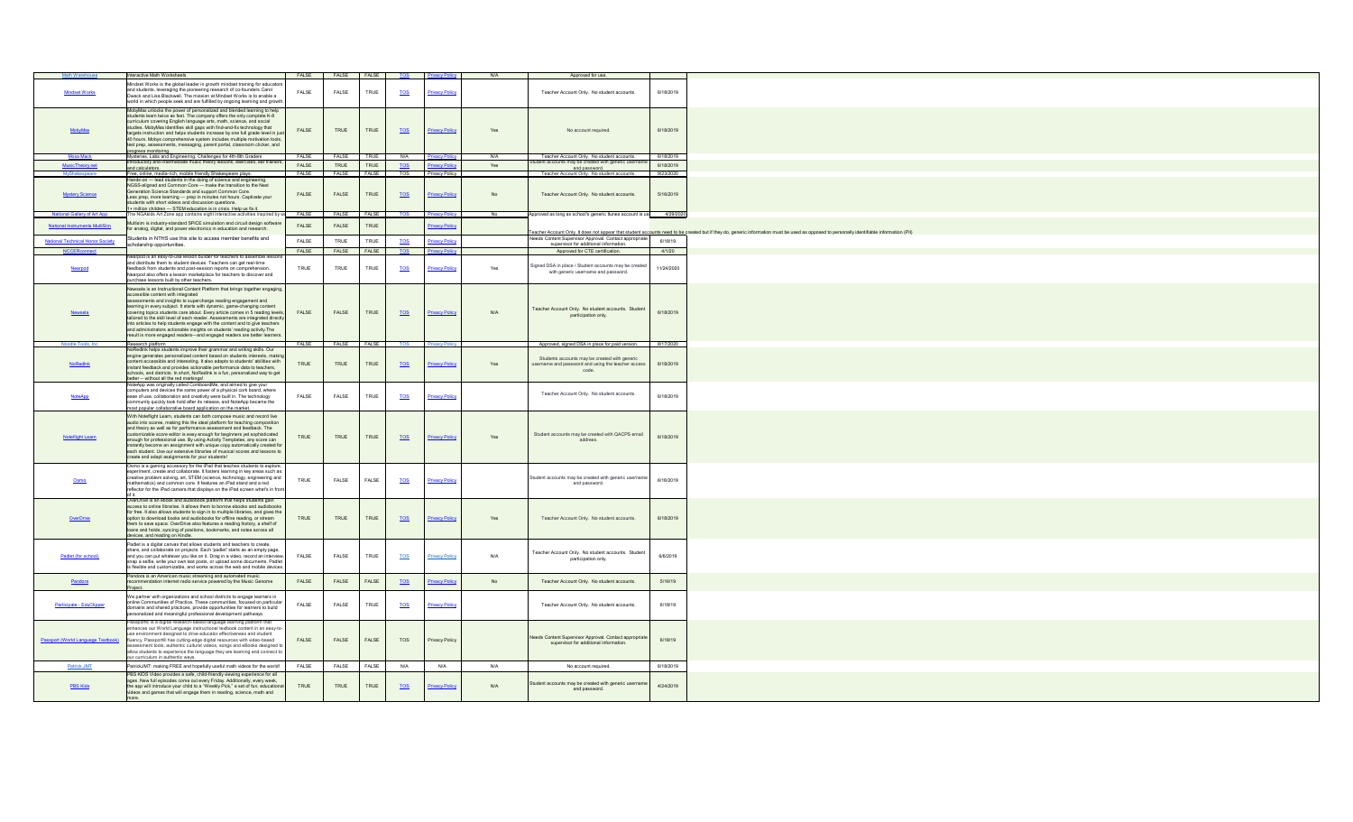| <b>Math Warehouse</b>                                          | Interactive Math Worksheets                                                                                                                                                                                                                                                                                                                                                                                                                                                                                                                                                                                                                                                | <b>FALSE</b>                 |                              | FALSE   FALSE               | <b>TOS</b>               | <b>Privacy Policy</b>                          | N/A              | Approved for use.                                                                                                                                                                                                                                    |                        |
|----------------------------------------------------------------|----------------------------------------------------------------------------------------------------------------------------------------------------------------------------------------------------------------------------------------------------------------------------------------------------------------------------------------------------------------------------------------------------------------------------------------------------------------------------------------------------------------------------------------------------------------------------------------------------------------------------------------------------------------------------|------------------------------|------------------------------|-----------------------------|--------------------------|------------------------------------------------|------------------|------------------------------------------------------------------------------------------------------------------------------------------------------------------------------------------------------------------------------------------------------|------------------------|
| <b>Mindset Works</b>                                           | Mindset Works is the global leader in growth mindset training for educators<br>and students, leveraging the pioneering research of co-founders Carol<br>Dweck and Lisa Blackwell. The mission at Mindset Works is to enable a<br>world in which people seek and are fulfilled by ongoing learning and growth.                                                                                                                                                                                                                                                                                                                                                              | <b>FALSE</b>                 | <b>FALSE</b>                 | <b>TRUE</b>                 | <b>TOS</b>               | <b>Privacy Policy</b>                          |                  | Teacher Account Only. No student accounts.                                                                                                                                                                                                           | 6/18/2019              |
| <b>MobyMax</b>                                                 | MobyMax unlocks the power of personalized and blended learning to help<br>students learn twice as fast. The company offers the only complete K-8<br>curriculum covering English language arts, math, science, and social<br>studies. MobyMax identifies skill gaps with find-and-fix technology that<br>targets instruction and helps students increase by one full grade level in just<br>40 hours. Mobys comprehensive system includes multiple motivation tools,<br>test prep, assessments, messaging, parent portal, classroom clicker, and                                                                                                                            | FALSE                        | <b>TRUE</b>                  | <b>TRUE</b>                 | <b>TOS</b>               | <b>Privacy Policy</b>                          | Yes              | No account required.                                                                                                                                                                                                                                 | 6/18/2019              |
| <u>Mosa Mack</u>                                               | progress monitoring.<br>Mysteries, Labs and Engineering; Challenges for 4th-8th Graders                                                                                                                                                                                                                                                                                                                                                                                                                                                                                                                                                                                    | <b>FALSE</b>                 |                              | FALSE   TRUE                | N/A                      | <b>Privacy Policy</b>                          | N/A              | Teacher Account Only. No student accounts.                                                                                                                                                                                                           | 6/18/2019              |
| MusicTheory.net<br>MyShakespeare                               | Introductory and intermediate music theory lessons, exercises, ear trainers,<br>and calculators.<br>Free, online, media-rich, mobile friendly Shakespeare plays.                                                                                                                                                                                                                                                                                                                                                                                                                                                                                                           | FALSE<br><b>FALSE</b>        | <b>TRUE</b><br>FALSE         | <b>TRUE</b><br><b>FALSE</b> | TOS<br><b>TOS</b>        | <b>Privacy Policy</b><br>Privacy Policy        | Yes              | Student accounts may be created with generic usernam<br>and password.<br>Teacher Account Only. No student accounts.                                                                                                                                  | 6/18/2019<br>9/23/2020 |
| <b>Mystery Science</b><br><b>National Gallery of Art App</b>   | Hands-on — lead students in the doing of science and engineering.<br>NGSS-aligned and Common Core — make the transition to the Next<br>Generation Science Standards and support Common Core.<br>Less prep, more learning - prep in minutes not hours. Captivate your<br>students with short videos and discussion questions.<br>1+ million children - STEM education is in crisis. Help us fix it.<br>The NGAkids Art Zone app contains eight interactive activities inspired by wo                                                                                                                                                                                        | FALSE<br>FALSE               | <b>FALSE</b><br><b>FALSE</b> | <b>TRUE</b><br>FALSE        | <b>TOS</b><br>TOR        | <b>Privacy Policy</b><br><b>Privacy Policy</b> | <b>No</b><br>No. | Teacher Account Only. No student accounts.<br>Approved as long as school's generic Itunes account is us $\boxed{\qquad \qquad 4/29/2020}$                                                                                                            | 5/16/2019              |
| <b>National Instruments MultiSim</b>                           | Multisim is industry-standard SPICE simulation and circuit design software                                                                                                                                                                                                                                                                                                                                                                                                                                                                                                                                                                                                 | FALSE                        | <b>FALSE</b>                 | <b>TRUE</b>                 |                          | <b>Privacy Policy</b>                          |                  |                                                                                                                                                                                                                                                      |                        |
|                                                                | for analog, digital, and power electronics in education and research.<br>Students in NTHS use this site to access member benefits and                                                                                                                                                                                                                                                                                                                                                                                                                                                                                                                                      |                              |                              |                             |                          |                                                |                  | Teacher Account Only. It does not appear that student accounts need to be created but if they do, generic information must be used as opposed to personally identifiable information (PII)<br>Needs Content Supervisor Approval. Contact appropriate |                        |
| <b>National Technical Honor Society</b><br><b>NCCERconnect</b> | scholarship opportunities.                                                                                                                                                                                                                                                                                                                                                                                                                                                                                                                                                                                                                                                 | <b>FALSE</b><br><b>FALSE</b> | <b>TRUE</b><br><b>FALSE</b>  | <b>TRUE</b><br>FALSE        | <b>TOS</b><br><b>TOS</b> | <b>Privacy Policy</b><br><b>Privacy Policy</b> |                  | supervisor for additional information.<br>Approved for CTE certification.                                                                                                                                                                            | 6/18/19<br>4/1/20      |
|                                                                | Nearpod is an easy-to-use lesson builder for teachers to assemble lessons<br>and distribute them to student devices. Teachers can get real-time                                                                                                                                                                                                                                                                                                                                                                                                                                                                                                                            |                              |                              |                             |                          |                                                |                  |                                                                                                                                                                                                                                                      |                        |
| <b>Nearpod</b>                                                 | feedback from students and post-session reports on comprehension.<br>Nearpod also offers a lesson marketplace for teachers to discover and<br>purchase lessons built by other teachers.                                                                                                                                                                                                                                                                                                                                                                                                                                                                                    | <b>TRUE</b>                  | <b>TRUE</b>                  | <b>TRUE</b>                 | <u>TOS</u>               | <b>Privacy Policy</b>                          | Yes              | Signed DSA in place / Student accounts may be created<br>with generic username and password.                                                                                                                                                         | 11/24/2020             |
| <b>Newsela</b>                                                 | Newsela is an Instructional Content Platform that brings together engaging,<br>accessible content with integrated<br>assessments and insights to supercharge reading engagement and<br>learning in every subject. It starts with dynamic, game-changing content<br>covering topics students care about. Every article comes in 5 reading levels,<br>tailored to the skill level of each reader. Assessments are integrated directly<br>into articles to help students engage with the content and to give teachers<br>and administrators actionable insights on students' reading activity. The<br>result is more engaged readers—and engaged readers are better learners. | <b>FALSE</b>                 | FALSE                        | <b>TRUE</b>                 | <b>TOS</b>               | <b>Privacy Policy</b>                          | N/A              | Teacher Account Only. No student accounts. Student<br>participation only.                                                                                                                                                                            | 6/18/2019              |
| Noodle Tools, Inc.                                             | Research platform<br>NoRedlnk helps students improve their grammar and writing skills. Our                                                                                                                                                                                                                                                                                                                                                                                                                                                                                                                                                                                 | <b>FALSE</b>                 |                              | FALSE   FALSE               | <b>TOS</b>               | <b>Privacy Policy</b>                          |                  | Approved, signed DSA in place for paid version.                                                                                                                                                                                                      | 8/17/2020              |
| NoRedInk                                                       | engine generates personalized content based on students interests, making<br>content accessible and interesting. It also adapts to students' abilities with<br>instant feedback and provides actionable performance data to teachers,<br>schools, and districts. In short, NoRedlnk is a fun, personalized way to get                                                                                                                                                                                                                                                                                                                                                      | TRUE                         | <b>TRUE</b>                  | <b>TRUE</b>                 | <b>TOS</b>               | <b>Privacy Policy</b>                          | Yes              | Students accounts may be created with generic<br>username and password and using the teacher access<br>code                                                                                                                                          | 6/18/2019              |
| <b>NoteApp</b>                                                 | better -- without all the red markings!<br>NoteApp was originally called CorkboardMe, and aimed to give your<br>computers and devices the same power of a physical cork board, where<br>ease of use, collaboration and creativity were built in. The technology<br>community quickly took hold after its release, and NoteApp became the<br>most popular collaborative board application on the market.                                                                                                                                                                                                                                                                    | <b>FALSE</b>                 | <b>FALSE</b>                 | <b>TRUE</b>                 | <u>TOS</u>               | <b>Privacy Policy</b>                          |                  | Teacher Account Only. No student accounts.                                                                                                                                                                                                           | 6/18/2019              |
| <b>Noteflight Learn</b>                                        | With Noteflight Learn, students can both compose music and record live<br>audio into scores, making this the ideal platform for teaching composition<br>and theory as well as for performance assessment and feedback. The<br>customizable score editor is easy enough for beginners yet sophisticated<br>enough for professional use. By using Activity Templates, any score can<br>instantly become an assignment with unique copy automatically created for<br>each student. Use our extensive libraries of musical scores and lessons to<br>create and adapt assignments for your students!                                                                            | <b>TRUE</b>                  | <b>TRUE</b>                  | <b>TRUE</b>                 | <b>TOS</b>               | <b>Privacy Policy</b>                          | Yes              | Student accounts may be created with QACPS email<br>address.                                                                                                                                                                                         | 6/18/2019              |
| <u>Osmo</u>                                                    | Osmo is a gaming accessory for the iPad that teaches students to explore,<br>experiment, create and collaborate. It fosters learning in key areas such as:<br>creative problem solving, art, STEM (science, technology, engineering and<br>mathematics) and common core. It features an iPad stand and a red<br>$ $ reflector for the iPad camera that displays on the iPad screen what's in front                                                                                                                                                                                                                                                                         | <b>TRUE</b>                  | <b>FALSE</b>                 | <b>FALSE</b>                | <b>TOS</b>               | <b>Privacy Policy</b>                          |                  | Student accounts may be created with generic username<br>and password.                                                                                                                                                                               | 6/18/2019              |
| <b>OverDrive</b>                                               | OverDrive is an ebook and audiobook platform that helps students gain<br>access to online libraries. It allows them to borrow ebooks and audiobooks<br>for free. It also allows students to sign in to multiple libraries, and gives the<br>option to download books and audiobooks for offline reading, or stream<br>them to save space. OverDrive also features a reading history, a shelf of<br>loans and holds, syncing of positions, bookmarks, and notes across all<br>devices, and reading on Kindle.                                                                                                                                                               | <b>TRUE</b>                  | <b>TRUE</b>                  | <b>TRUE</b>                 | <b>TOS</b>               | <b>Privacy Policy</b>                          | Yes              | Teacher Account Only. No student accounts.                                                                                                                                                                                                           | 6/18/2019              |
| Padlet (for school)                                            | Padlet is a digital canvas that allows students and teachers to create,<br>share, and collaborate on projects. Each 'padlet' starts as an empty page,<br>and you can put whatever you like on it. Drag in a video, record an interview,<br>snap a selfie, write your own text posts, or upload some documents. Padlet<br>is flexible and customizable, and works across the web and mobile devices.                                                                                                                                                                                                                                                                        | <b>FALSE</b>                 | <b>FALSE</b>                 | <b>TRUE</b>                 | <b>TOS</b>               | <b>Privacy Policy</b>                          | N/A              | Teacher Account Only. No student accounts. Student<br>participation only.                                                                                                                                                                            | 6/6/2019               |
| Pandora                                                        | Pandora is an American music streaming and automated music<br>recommendation internet radio service powered by the Music Genome                                                                                                                                                                                                                                                                                                                                                                                                                                                                                                                                            | FALSE                        | <b>FALSE</b>                 | <b>FALSE</b>                | <b>TOS</b>               | <b>Privacy Policy</b>                          | <b>No</b>        | Teacher Account Only. No student accounts.                                                                                                                                                                                                           | 5/16/19                |
| Participate - EduClipper                                       | Project.<br>We partner with organizations and school districts to engage learners in<br>online Communities of Practice. These communities, focused on particular<br>domains and shared practices, provide opportunities for learners to build<br>personalized and meaningful professional development pathways.                                                                                                                                                                                                                                                                                                                                                            | <b>FALSE</b>                 | <b>FALSE</b>                 | <b>TRUE</b>                 | <b>TOS</b>               | <b>Privacy Policy</b>                          |                  | Teacher Account Only. No student accounts.                                                                                                                                                                                                           | 6/18/19                |
| <b>Passport (World Language Textbook)</b>                      | Passport® is a digital research-based language learning platform that<br>enhances our World Language instructional textbook content in an easy-to-<br>use environment designed to drive educator effectiveness and student<br>fluency. Passport® has cutting-edge digital resources with video-based<br>assessment tools, authentic cultural videos, songs and eBooks designed to<br>allow students to experience the language they are learning and connect to<br>our curriculum in authentic ways.                                                                                                                                                                       | <b>FALSE</b>                 | FALSE                        | <b>FALSE</b>                | <b>TOS</b>               | <b>Privacy Policy</b>                          |                  | Needs Content Supervisor Approval. Contact appropriate<br>supervisor for additional information.                                                                                                                                                     | 6/18/19                |
| <b>Patrick JMT</b>                                             | PatrickJMT: making FREE and hopefully useful math videos for the world!                                                                                                                                                                                                                                                                                                                                                                                                                                                                                                                                                                                                    | <b>FALSE</b>                 | <b>FALSE</b>                 | <b>FALSE</b>                | N/A                      | N/A                                            | N/A              | No account required.                                                                                                                                                                                                                                 | 6/18/2019              |
| <b>PBS Kids</b>                                                | <b>PBS KIDS Video provides a safe, child-friendly viewing experience for all</b><br>ages. New full episodes come out every Friday. Additionally, every week,<br>the app will introduce your child to a "Weekly Pick," a set of fun, educational<br>videos and games that will engage them in reading, science, math and                                                                                                                                                                                                                                                                                                                                                    | <b>TRUE</b>                  | <b>TRUE</b>                  | <b>TRUE</b>                 | <b>TOS</b>               | <b>Privacy Policy</b>                          | N/A              | Student accounts may be created with generic usernam<br>and password.                                                                                                                                                                                | 4/24/2019              |

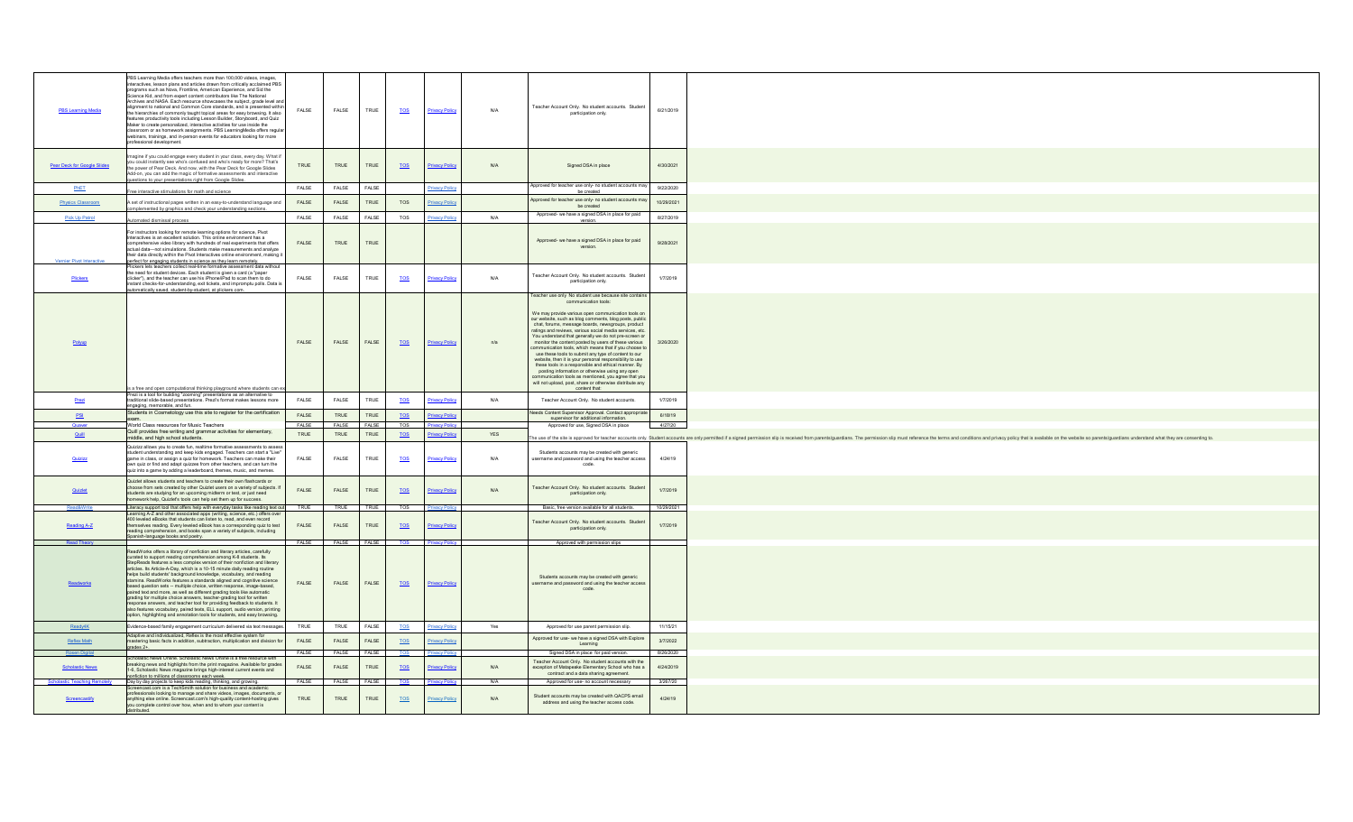| <b>PBS Learning Media</b>              | PBS Learning Media offers teachers more than 100,000 videos, images,<br>interactives, lesson plans and articles drawn from critically acclaimed PBS<br>programs such as Nova, Frontline, American Experience, and Sid the<br>Science Kid, and from expert content contributors like The National<br>Archives and NASA. Each resource showcases the subject, grade level and<br>alignment to national and Common Core standards, and is presented within<br>the hierarchies of commonly taught topical areas for easy browsing. It also<br>features productivity tools including Lesson Builder, Storyboard, and Quiz<br>Maker to create personalized, interactive activities for use inside the<br>classroom or as homework assignments. PBS LearningMedia offers regular<br>webinars, trainings, and in-person events for educators looking for more<br>professional development.                                                 | <b>FALSE</b>                 | <b>FALSE</b>                 | <b>TRUE</b>                  | <b>TOS</b>               | <b>Privacy Policy</b>                          | N/A        | Teacher Account Only. No student accounts. Student<br>participation only.                                                                                                                                                                                                                                                                                                                                                                                                                                                                                                                                                                                                                                                                                                                                                                                   | 6/21/2019  |                                                                                                                                                            |
|----------------------------------------|------------------------------------------------------------------------------------------------------------------------------------------------------------------------------------------------------------------------------------------------------------------------------------------------------------------------------------------------------------------------------------------------------------------------------------------------------------------------------------------------------------------------------------------------------------------------------------------------------------------------------------------------------------------------------------------------------------------------------------------------------------------------------------------------------------------------------------------------------------------------------------------------------------------------------------|------------------------------|------------------------------|------------------------------|--------------------------|------------------------------------------------|------------|-------------------------------------------------------------------------------------------------------------------------------------------------------------------------------------------------------------------------------------------------------------------------------------------------------------------------------------------------------------------------------------------------------------------------------------------------------------------------------------------------------------------------------------------------------------------------------------------------------------------------------------------------------------------------------------------------------------------------------------------------------------------------------------------------------------------------------------------------------------|------------|------------------------------------------------------------------------------------------------------------------------------------------------------------|
| <b>Pear Deck for Google Slides</b>     | Imagine if you could engage every student in your class, every day. What if<br>you could instantly see who's confused and who's ready for more? That's<br>the power of Pear Deck. And now, with the Pear Deck for Google Slides<br>Add-on, you can add the magic of formative assessments and interactive<br>questions to your presentations right from Google Slides.                                                                                                                                                                                                                                                                                                                                                                                                                                                                                                                                                             | <b>TRUE</b>                  | <b>TRUE</b>                  | <b>TRUE</b>                  | <b>TOS</b>               | <b>Privacy Policy</b>                          | N/A        | Signed DSA in place                                                                                                                                                                                                                                                                                                                                                                                                                                                                                                                                                                                                                                                                                                                                                                                                                                         | 4/30/2021  |                                                                                                                                                            |
| PhET                                   | Free interactive stimulations for math and science                                                                                                                                                                                                                                                                                                                                                                                                                                                                                                                                                                                                                                                                                                                                                                                                                                                                                 | <b>FALSE</b>                 | <b>FALSE</b>                 | <b>FALSE</b>                 |                          | <b>Privacy Policy</b>                          |            | Approved for teacher use only- no student accounts may<br>be created                                                                                                                                                                                                                                                                                                                                                                                                                                                                                                                                                                                                                                                                                                                                                                                        | 9/22/2020  |                                                                                                                                                            |
| <b>Physics Classroom</b>               | A set of instructional pages written in an easy-to-understand language and<br>complemented by graphics and check your understanding sections.                                                                                                                                                                                                                                                                                                                                                                                                                                                                                                                                                                                                                                                                                                                                                                                      | <b>FALSE</b>                 | <b>FALSE</b>                 | <b>TRUE</b>                  | <b>TOS</b>               | <b>Privacy Policy</b>                          |            | Approved for teacher use only- no student accounts may<br>be created                                                                                                                                                                                                                                                                                                                                                                                                                                                                                                                                                                                                                                                                                                                                                                                        | 10/29/2021 |                                                                                                                                                            |
| <b>Pick Up Patrol</b>                  | Automated dismissal process                                                                                                                                                                                                                                                                                                                                                                                                                                                                                                                                                                                                                                                                                                                                                                                                                                                                                                        | <b>FALSE</b>                 | <b>FALSE</b>                 | <b>FALSE</b>                 | <b>TOS</b>               | <b>Privacy Policy</b>                          | N/A        | Approved- we have a signed DSA in place for paid<br>version.                                                                                                                                                                                                                                                                                                                                                                                                                                                                                                                                                                                                                                                                                                                                                                                                | 8/27/2019  |                                                                                                                                                            |
| <b>Vernier Pivot Interactive</b>       | For instructors looking for remote learning options for science, Pivot<br>Interactives is an excellent solution. This online environment has a<br>comprehensive video library with hundreds of real experiments that offers<br>actual data—not simulations. Students make measurements and analyze<br>their data directly within the Pivot Interactives online environment, making it<br>perfect for engaging students in science as they learn remotely.                                                                                                                                                                                                                                                                                                                                                                                                                                                                          | <b>FALSE</b>                 | <b>TRUE</b>                  | <b>TRUE</b>                  |                          |                                                |            | Approved- we have a signed DSA in place for paid<br>version.                                                                                                                                                                                                                                                                                                                                                                                                                                                                                                                                                                                                                                                                                                                                                                                                | 9/28/2021  |                                                                                                                                                            |
| <b>Plickers</b>                        | Plickers lets teachers collect real-time formative assessment data without<br>the need for student devices. Each student is given a card (a "paper<br>clicker"), and the teacher can use his iPhone/iPad to scan them to do<br>instant checks-for-understanding, exit tickets, and impromptu polls. Data is<br>automatically saved, student-by-student, at plickers.com.                                                                                                                                                                                                                                                                                                                                                                                                                                                                                                                                                           | <b>FALSE</b>                 | <b>FALSE</b>                 | <b>TRUE</b>                  | <b>TOS</b>               | <b>Privacy Policy</b>                          | N/A        | Teacher Account Only. No student accounts. Student<br>participation only.                                                                                                                                                                                                                                                                                                                                                                                                                                                                                                                                                                                                                                                                                                                                                                                   | 1/7/2019   |                                                                                                                                                            |
| Polyup                                 | is a free and open computational thinking playground where students can ex                                                                                                                                                                                                                                                                                                                                                                                                                                                                                                                                                                                                                                                                                                                                                                                                                                                         | <b>FALSE</b>                 | <b>FALSE</b>                 | <b>FALSE</b>                 | <b>TOS</b>               | <b>Privacy Policy</b>                          | n/a        | Teacher use only No student use because site contains<br>communication tools:<br>We may provide various open communication tools on<br>our website, such as blog comments, blog posts, public<br>chat, forums, message boards, newsgroups, product<br>ratings and reviews, various social media services, etc.<br>You understand that generally we do not pre-screen or<br>monitor the content posted by users of these various<br>communication tools, which means that if you choose to<br>use these tools to submit any type of content to our<br>website, then it is your personal responsibility to use<br>these tools in a responsible and ethical manner. By<br>posting information or otherwise using any open<br>communication tools as mentioned, you agree that you<br>will not upload, post, share or otherwise distribute any<br>content that: | 3/26/2020  |                                                                                                                                                            |
| Prezi                                  | Prezi is a tool for building "zooming" presentations as an alternative to<br>traditional slide-based presentations. Prezi's format makes lessons more                                                                                                                                                                                                                                                                                                                                                                                                                                                                                                                                                                                                                                                                                                                                                                              | <b>FALSE</b>                 | <b>FALSE</b>                 | <b>TRUE</b>                  | <b>TOS</b>               | <b>Privacy Policy</b>                          | N/A        | Teacher Account Only. No student accounts.                                                                                                                                                                                                                                                                                                                                                                                                                                                                                                                                                                                                                                                                                                                                                                                                                  | 1/7/2019   |                                                                                                                                                            |
| PSI                                    | engaging, memorable, and fun.<br>Students in Cosmetology use this site to register for the certification<br>exam.                                                                                                                                                                                                                                                                                                                                                                                                                                                                                                                                                                                                                                                                                                                                                                                                                  | <b>FALSE</b>                 | <b>TRUE</b>                  | <b>TRUE</b>                  | <b>TOS</b>               | <b>Privacy Policy</b>                          |            | Needs Content Supervisor Approval. Contact appropriate<br>supervisor for additional information.                                                                                                                                                                                                                                                                                                                                                                                                                                                                                                                                                                                                                                                                                                                                                            | 6/18/19    |                                                                                                                                                            |
| Quaver                                 | World Class resources for Music Teachers                                                                                                                                                                                                                                                                                                                                                                                                                                                                                                                                                                                                                                                                                                                                                                                                                                                                                           | <b>FALSE</b>                 | <b>FALSE</b>                 | <b>FALSE</b>                 | <b>TOS</b>               | <b>Privacy Policy</b>                          |            | Approved for use, Signed DSA in place                                                                                                                                                                                                                                                                                                                                                                                                                                                                                                                                                                                                                                                                                                                                                                                                                       | 4/27/20    |                                                                                                                                                            |
| <b>Quill</b>                           | Quill provides free writing and grammar activities for elementary,<br>middle, and high school students.                                                                                                                                                                                                                                                                                                                                                                                                                                                                                                                                                                                                                                                                                                                                                                                                                            | <b>TRUE</b>                  | <b>TRUE</b>                  | <b>TRUE</b>                  | <b>TOS</b>               | <b>Privacy Policy</b>                          | <b>YES</b> |                                                                                                                                                                                                                                                                                                                                                                                                                                                                                                                                                                                                                                                                                                                                                                                                                                                             |            | The use of the site is approved for teacher accounts only. Student accounts are only permitted if a signed permission slip is received from parents/guardi |
| <b>Quizizz</b>                         | Quizizz allows you to create fun, realtime formative assessments to assess<br>student understanding and keep kids engaged. Teachers can start a "Live"<br>game in class, or assign a quiz for homework. Teachers can make their<br>own quiz or find and adapt quizzes from other teachers, and can turn the<br>quiz into a game by adding a leaderboard, themes, music, and memes.                                                                                                                                                                                                                                                                                                                                                                                                                                                                                                                                                 | <b>FALSE</b>                 | <b>FALSE</b>                 | <b>TRUE</b>                  | <b>TOS</b>               | <b>Privacy Policy</b>                          | N/A        | Students accounts may be created with generic<br>username and password and using the teacher access<br>code.                                                                                                                                                                                                                                                                                                                                                                                                                                                                                                                                                                                                                                                                                                                                                | 4/24/19    |                                                                                                                                                            |
| <b>Quizlet</b>                         | Quizlet allows students and teachers to create their own flashcards or<br>choose from sets created by other Quizlet users on a variety of subjects. If<br>students are studying for an upcoming midterm or test, or just need<br>homework help, Quizlet's tools can help set them up for success.                                                                                                                                                                                                                                                                                                                                                                                                                                                                                                                                                                                                                                  | FALSE                        | <b>FALSE</b>                 | <b>TRUE</b>                  | <u>TOS</u>               | <b>Privacy Policy</b>                          | N/A        | Teacher Account Only. No student accounts. Student<br>participation only.                                                                                                                                                                                                                                                                                                                                                                                                                                                                                                                                                                                                                                                                                                                                                                                   | 1/7/2019   |                                                                                                                                                            |
| Read&Write                             | Literacy support tool that offers help with everyday tasks like reading text out<br>Learning A-Z and other associated apps (writing, science, etc.) offers over                                                                                                                                                                                                                                                                                                                                                                                                                                                                                                                                                                                                                                                                                                                                                                    | <b>TRUE</b>                  | <b>TRUE</b>                  | <b>TRUE</b>                  | <b>TOS</b>               | <b>Privacy Policy</b>                          |            | Basic, free version available for all students.                                                                                                                                                                                                                                                                                                                                                                                                                                                                                                                                                                                                                                                                                                                                                                                                             | 10/29/2021 |                                                                                                                                                            |
| <b>Reading A-Z</b>                     | 400 leveled eBooks that students can listen to, read, and even record<br>themselves reading. Every leveled eBook has a corresponding quiz to test<br>reading comprehension, and books span a variety of subjects, including<br>Spanish-language books and poetry.                                                                                                                                                                                                                                                                                                                                                                                                                                                                                                                                                                                                                                                                  | <b>FALSE</b>                 | <b>FALSE</b>                 | <b>TRUE</b>                  | <b>TOS</b>               | <b>Privacy Policy</b>                          |            | Teacher Account Only. No student accounts. Student<br>participation only.                                                                                                                                                                                                                                                                                                                                                                                                                                                                                                                                                                                                                                                                                                                                                                                   | 1/7/2019   |                                                                                                                                                            |
| <b>Read Theory</b><br><b>Readworks</b> | ReadWorks offers a library of nonfiction and literary articles, carefully<br>curated to support reading comprehension among K-8 students. Its<br>StepReads features a less complex version of their nonfiction and literary<br>articles. Its Article-A-Day, which is a 10-15 minute daily reading routine<br>helps build students' background knowledge, vocabulary, and reading<br>stamina. ReadWorks features a standards aligned and cognitive science<br>based question sets -- multiple choice, written response, image-based,<br>paired text and more, as well as different grading tools like automatic<br>grading for multiple choice answers, teacher-grading tool for written<br>response answers, and teacher tool for providing feedback to students. It<br>also features vocabulary, paired texts, ELL support, audio version, printing<br>option, highlighting and annotation tools for students, and easy browsing. | <b>FALSE</b><br><b>FALSE</b> | <b>FALSE</b><br><b>FALSE</b> | <b>FALSE</b><br><b>FALSE</b> | <b>TOS</b><br><b>TOS</b> | <b>Privacy Policy</b><br><b>Privacy Policy</b> |            | Approved with permission slips<br>Students accounts may be created with generic<br>username and password and using the teacher access<br>code.                                                                                                                                                                                                                                                                                                                                                                                                                                                                                                                                                                                                                                                                                                              |            |                                                                                                                                                            |
| Ready4K                                | Evidence-based family engagement curriculum delivered via text messages.                                                                                                                                                                                                                                                                                                                                                                                                                                                                                                                                                                                                                                                                                                                                                                                                                                                           | <b>TRUE</b>                  | <b>TRUE</b>                  | <b>FALSE</b>                 | <b>TOS</b>               | <b>Privacy Policy</b>                          | Yes        | Approved for use parent permission slip.                                                                                                                                                                                                                                                                                                                                                                                                                                                                                                                                                                                                                                                                                                                                                                                                                    | 11/15/21   |                                                                                                                                                            |
| <b>Reflex Math</b>                     | Adaptive and individualized, Reflex is the most effective system for<br>mastering basic facts in addition, subtraction, multiplication and division for                                                                                                                                                                                                                                                                                                                                                                                                                                                                                                                                                                                                                                                                                                                                                                            | <b>FALSE</b>                 | <b>FALSE</b>                 | <b>FALSE</b>                 | <b>TOS</b>               | <b>Privacy Policy</b>                          |            | Approved for use- we have a signed DSA with Explore<br>Learning                                                                                                                                                                                                                                                                                                                                                                                                                                                                                                                                                                                                                                                                                                                                                                                             | 3/7/2022   |                                                                                                                                                            |
| <b>Rosen Digital</b>                   | $q$ rades $2+$ .                                                                                                                                                                                                                                                                                                                                                                                                                                                                                                                                                                                                                                                                                                                                                                                                                                                                                                                   | <b>FALSE</b>                 | <b>FALSE</b>                 | <b>FALSE</b>                 | <b>TOS</b>               | <b>Privacy Policy</b>                          |            | Signed DSA in place for paid version.                                                                                                                                                                                                                                                                                                                                                                                                                                                                                                                                                                                                                                                                                                                                                                                                                       | 8/26/2020  |                                                                                                                                                            |
| <b>Scholastic News</b>                 | Scholastic News Online. Scholastic News Online is a free resource with<br>breaking news and highlights from the print magazine. Available for grades<br>1-6, Scholastic News magazine brings high-interest current events and<br>nonfiction to millions of classrooms each week.                                                                                                                                                                                                                                                                                                                                                                                                                                                                                                                                                                                                                                                   | <b>FALSE</b>                 | <b>FALSE</b>                 | <b>TRUE</b>                  | <b>TOS</b>               | <b>Privacy Policy</b>                          | N/A        | Teacher Account Only. No student accounts with the<br>exception of Matapeake Elementary School who has a<br>contract and a data sharing agreement.                                                                                                                                                                                                                                                                                                                                                                                                                                                                                                                                                                                                                                                                                                          | 4/24/2019  |                                                                                                                                                            |
| <b>Scholastic Teaching Remotely</b>    | Day by day projects to keep kids reading, thinking, and growing.<br>Screencast.com is a TechSmith solution for business and academic                                                                                                                                                                                                                                                                                                                                                                                                                                                                                                                                                                                                                                                                                                                                                                                               | <b>FALSE</b>                 | <b>FALSE</b>                 | <b>FALSE</b>                 | <b>TOS</b>               | <b>Privacy Policy</b>                          | N/A        | Approved for use- no account necessary                                                                                                                                                                                                                                                                                                                                                                                                                                                                                                                                                                                                                                                                                                                                                                                                                      | 3/267/20   |                                                                                                                                                            |
| Screencastify                          | professionals looking to manage and share videos, images, documents, or<br>anything else online. Screencast.com's high-quality content-hosting gives<br>you complete control over how, when and to whom your content is<br>distributed.                                                                                                                                                                                                                                                                                                                                                                                                                                                                                                                                                                                                                                                                                            | <b>TRUE</b>                  | <b>TRUE</b>                  | <b>TRUE</b>                  | <b>TOS</b>               | <b>Privacy Policy</b>                          | N/A        | Student accounts may be created with QACPS email<br>address and using the teacher access code.                                                                                                                                                                                                                                                                                                                                                                                                                                                                                                                                                                                                                                                                                                                                                              | 4/24/19    |                                                                                                                                                            |

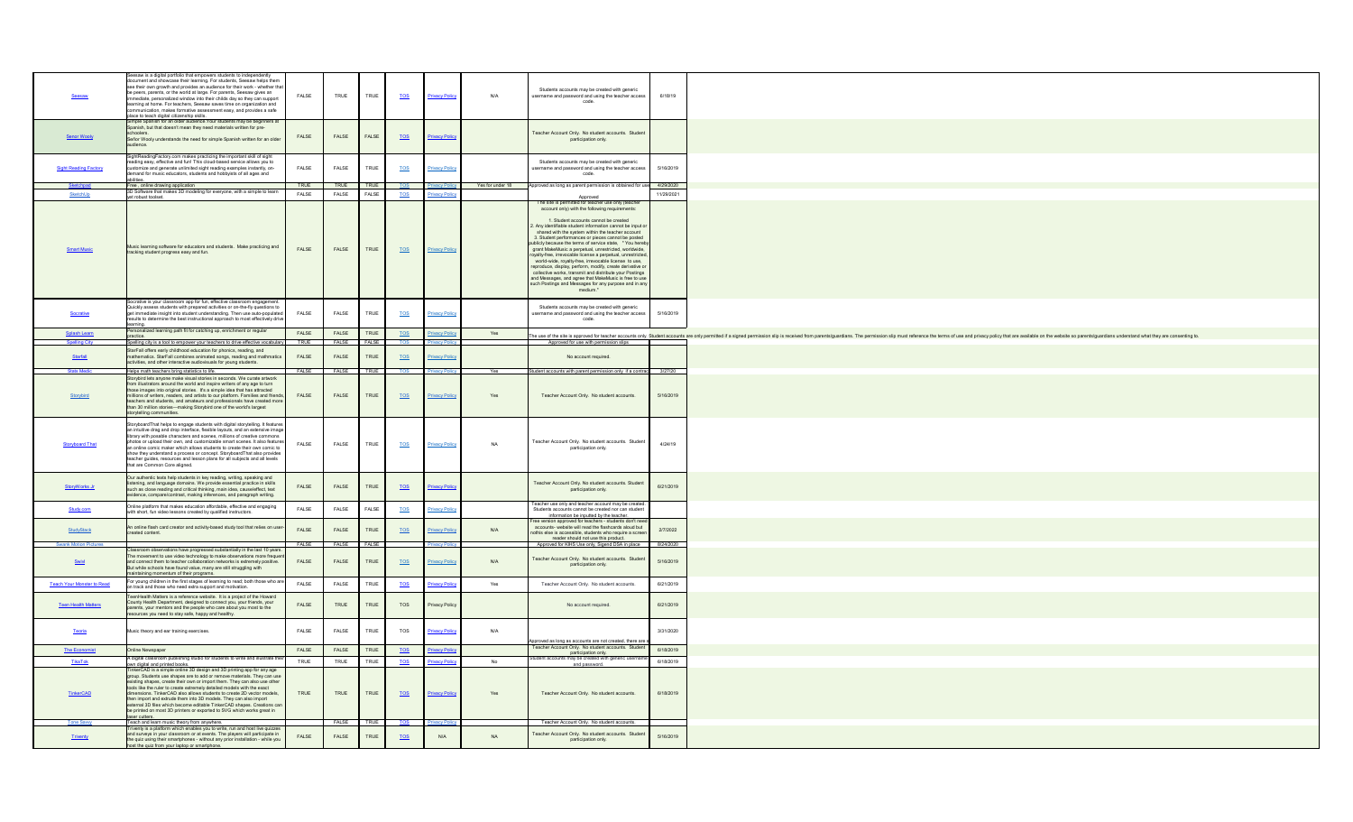



| <b>Seesaw</b>                         | Seesaw is a digital portfolio that empowers students to independently<br>document and showcase their learning. For students, Seesaw helps them<br>see their own growth and provides an audience for their work - whether that<br>be peers, parents, or the world at large. For parents, Seesaw gives an<br>immediate, personalized window into their childs day so they can support<br>learning at home. For teachers, Seesaw saves time on organization and<br>communication, makes formative assessment easy, and provides a safe<br>place to teach digital citizenship skills.                                                                                 | <b>FALSE</b>                | <b>TRUE</b>                 | <b>TRUE</b>                 | <b>TOS</b>               | <b>Privacy Policy</b>                          | N/A              | Students accounts may be created with generic<br>username and password and using the teacher access<br>code.                                                                                                                                                                                                                                                                                                                                                                                                                                                                                                                                                                                                                                                                                                                            | 6/18/19                 |                                                                                                                                                            |
|---------------------------------------|-------------------------------------------------------------------------------------------------------------------------------------------------------------------------------------------------------------------------------------------------------------------------------------------------------------------------------------------------------------------------------------------------------------------------------------------------------------------------------------------------------------------------------------------------------------------------------------------------------------------------------------------------------------------|-----------------------------|-----------------------------|-----------------------------|--------------------------|------------------------------------------------|------------------|-----------------------------------------------------------------------------------------------------------------------------------------------------------------------------------------------------------------------------------------------------------------------------------------------------------------------------------------------------------------------------------------------------------------------------------------------------------------------------------------------------------------------------------------------------------------------------------------------------------------------------------------------------------------------------------------------------------------------------------------------------------------------------------------------------------------------------------------|-------------------------|------------------------------------------------------------------------------------------------------------------------------------------------------------|
| <b>Senor Wooly</b>                    | Simple Spanish for an older audience. Your students may be beginners at<br>Spanish, but that doesn't mean they need materials written for pre-<br>schoolers.<br>Señor Wooly understands the need for simple Spanish written for an older<br>laudience.                                                                                                                                                                                                                                                                                                                                                                                                            | <b>FALSE</b>                | <b>FALSE</b>                | <b>FALSE</b>                | <b>TOS</b>               | <b>Privacy Policy</b>                          |                  | Teacher Account Only. No student accounts. Student<br>participation only.                                                                                                                                                                                                                                                                                                                                                                                                                                                                                                                                                                                                                                                                                                                                                               |                         |                                                                                                                                                            |
| <b>Sight Reading Factory</b>          | SightReadingFactory.com makes practicing the important skill of sight<br>reading easy, effective and fun! This cloud-based service allows you to<br>customize and generate unlimited sight reading examples instantly, on-<br>demand for music educators, students and hobbyists of all ages and<br>labilities.                                                                                                                                                                                                                                                                                                                                                   | <b>FALSE</b>                | <b>FALSE</b>                | <b>TRUE</b>                 | <b>TOS</b>               | <b>Privacy Policy</b>                          |                  | Students accounts may be created with generic<br>username and password and using the teacher access<br>code.                                                                                                                                                                                                                                                                                                                                                                                                                                                                                                                                                                                                                                                                                                                            | 5/16/2019               |                                                                                                                                                            |
| Sketchpad                             | Free, online drawing application<br>3D Software that makes 3D modeling for everyone, with a simple to learn                                                                                                                                                                                                                                                                                                                                                                                                                                                                                                                                                       | <b>TRUE</b><br><b>FALSE</b> | <b>TRUE</b><br><b>FALSE</b> | <b>TRUE</b><br><b>FALSE</b> | <b>TOS</b>               | <b>Privacy Policy</b>                          | Yes for under 18 | Approved as long as parent permission is obtained for use                                                                                                                                                                                                                                                                                                                                                                                                                                                                                                                                                                                                                                                                                                                                                                               | 4/29/2020<br>11/29/2021 |                                                                                                                                                            |
| <b>SketchUp</b><br><b>Smart Music</b> | vet robust toolset.<br>Music learning software for educators and students. Make practicing and<br>tracking student progress easy and fun.                                                                                                                                                                                                                                                                                                                                                                                                                                                                                                                         | <b>FALSE</b>                | <b>FALSE</b>                | <b>TRUE</b>                 | <b>TOS</b><br><b>TOS</b> | <b>Privacy Policy</b><br><b>Privacy Policy</b> |                  | Approved<br>The site is permitted for teacher use only (teacher<br>account only) with the following requirements:<br>1. Student accounts cannot be created<br>2. Any identifiable student information cannot be input or<br>shared with the system within the teacher account<br>3. Student performances or pieces cannot be posted<br>publicly because the terms of service state, "You hereby<br>grant MakeMusic a perpetual, unrestricted, worldwide,<br>royalty-free, irrevocable license a perpetual, unrestricted,<br>world-wide, royalty-free, irrevocable license to use,<br>reproduce, display, perform, modify, create derivative or<br>collective works, transmit and distribute your Postings<br>and Messages, and agree that MakeMusic is free to use<br>such Postings and Messages for any purpose and in any<br>medium." |                         |                                                                                                                                                            |
| <b>Socrative</b>                      | Socrative is your classroom app for fun, effective classroom engagement.<br>Quickly assess students with prepared activities or on-the-fly questions to<br>get immediate insight into student understanding. Then use auto-populated<br>results to determine the best instructional approach to most effectively drive<br>learning.                                                                                                                                                                                                                                                                                                                               | <b>FALSE</b>                | <b>FALSE</b>                | <b>TRUE</b>                 | <u>TOS</u>               | <b>Privacy Policy</b>                          |                  | Students accounts may be created with generic<br>username and password and using the teacher access<br>code.                                                                                                                                                                                                                                                                                                                                                                                                                                                                                                                                                                                                                                                                                                                            | 5/16/2019               |                                                                                                                                                            |
| <b>Splash Learn</b>                   | Personalized learning path fit for catching up, enrichment or regular<br>Ipractice.                                                                                                                                                                                                                                                                                                                                                                                                                                                                                                                                                                               | <b>FALSE</b>                | <b>FALSE</b>                | <b>TRUE</b>                 | <b>TOS</b>               | <b>Privacy Policy</b>                          | Yes              |                                                                                                                                                                                                                                                                                                                                                                                                                                                                                                                                                                                                                                                                                                                                                                                                                                         |                         | The use of the site is approved for teacher accounts only. Student accounts are only permitted if a signed permission slip is received from parents/guardi |
| <b>Spelling City</b>                  | Spelling city is a tool to empower your teachers to drive effective vocabulary                                                                                                                                                                                                                                                                                                                                                                                                                                                                                                                                                                                    | <b>TRUE</b>                 | <b>FALSE</b>                | <b>FALSE</b>                | <b>TOS</b>               | <b>Privacy Policy</b>                          |                  | Approved for use with permission slips                                                                                                                                                                                                                                                                                                                                                                                                                                                                                                                                                                                                                                                                                                                                                                                                  |                         |                                                                                                                                                            |
| Starfall                              | StarFall offers early childhood education for phonics, reading, and<br>mathematics. StarFall combines animated songs, reading and mathmatics<br>activities, and other interactive audiovisuals for young students.                                                                                                                                                                                                                                                                                                                                                                                                                                                | <b>FALSE</b>                | <b>FALSE</b>                | <b>TRUE</b>                 | <u>TOS</u>               | <b>Privacy Policy</b>                          |                  | No account required.                                                                                                                                                                                                                                                                                                                                                                                                                                                                                                                                                                                                                                                                                                                                                                                                                    |                         |                                                                                                                                                            |
| <b>Stats Medic</b>                    | Helps math teachers bring statistics to life.                                                                                                                                                                                                                                                                                                                                                                                                                                                                                                                                                                                                                     | <b>FALSE</b>                | <b>FALSE</b>                | <b>TRUE</b>                 | <b>TOS</b>               | <b>Privacy Policy</b>                          | Yes              | Student accounts with parent permission only if a contract                                                                                                                                                                                                                                                                                                                                                                                                                                                                                                                                                                                                                                                                                                                                                                              | 3/27/20                 |                                                                                                                                                            |
| Storybird                             | Storybird lets anyone make visual stories in seconds. We curate artwork<br>from illustrators around the world and inspire writers of any age to turn<br>those images into original stories. It's a simple idea that has attracted<br>millions of writers, readers, and artists to our platform. Families and friends,<br>teachers and students, and amateurs and professionals have created more<br>than 30 million stories—making Storybird one of the world's largest<br>storytelling communities.                                                                                                                                                              | <b>FALSE</b>                | <b>FALSE</b>                | <b>TRUE</b>                 | <b>TOS</b>               | <b>Privacy Policy</b>                          | Yes              | Teacher Account Only. No student accounts.                                                                                                                                                                                                                                                                                                                                                                                                                                                                                                                                                                                                                                                                                                                                                                                              | 5/16/2019               |                                                                                                                                                            |
| <b>Storyboard That</b>                | Storyboard That helps to engage students with digital storytelling. It features<br>an intuitive drag and drop interface, flexible layouts, and an extensive image<br>library with posable characters and scenes, millions of creative commons<br>photos or upload their own, and customizable smart scenes. It also features<br>an online comic maker which allows students to create their own comic to<br>show they understand a process or concept. Storyboard That also provides<br>teacher guides, resources and lesson plans for all subjects and all levels<br>that are Common Core aligned.                                                               | <b>FALSE</b>                | <b>FALSE</b>                | <b>TRUE</b>                 | <b>TOS</b>               | <b>Privacy Policy</b>                          | <b>NA</b>        | Teacher Account Only. No student accounts. Student<br>participation only.                                                                                                                                                                                                                                                                                                                                                                                                                                                                                                                                                                                                                                                                                                                                                               | 4/24/19                 |                                                                                                                                                            |
| <b>StoryWorks Jr</b>                  | Our authentic texts help students in key reading, writing, speaking and<br>listening, and language domains. We provide essential practice in skills<br>such as close reading and critical thinking, main idea, cause/effect, text<br>evidence, compare/contrast, making inferences, and paragraph writing.                                                                                                                                                                                                                                                                                                                                                        | <b>FALSE</b>                | <b>FALSE</b>                | <b>TRUE</b>                 | <u>TOS</u>               | <b>Privacy Policy</b>                          |                  | Teacher Account Only. No student accounts. Student<br>participation only.                                                                                                                                                                                                                                                                                                                                                                                                                                                                                                                                                                                                                                                                                                                                                               | 6/21/2019               |                                                                                                                                                            |
| Study.com                             | Online platform that makes education affordable, effective and engaging<br>with short, fun video lessons created by qualified instructors.                                                                                                                                                                                                                                                                                                                                                                                                                                                                                                                        | <b>FALSE</b>                | <b>FALSE</b>                | <b>FALSE</b>                | <b>TOS</b>               | <b>Privacy Policy</b>                          |                  | Teacher use only and teacher account may be created.<br>Students accounts cannot be created nor can student<br>information be inputted by the teacher.                                                                                                                                                                                                                                                                                                                                                                                                                                                                                                                                                                                                                                                                                  |                         |                                                                                                                                                            |
| <b>StudyStack</b>                     | An online flash card creator and activity-based study tool that relies on user-<br>created content.                                                                                                                                                                                                                                                                                                                                                                                                                                                                                                                                                               | <b>FALSE</b>                | <b>FALSE</b>                | <b>TRUE</b>                 | <b>TOS</b>               | <b>Privacy Policy</b>                          | N/A              | Free version approved for teachers - students don't need<br>accounts- website will read the flashcards aloud but<br>nothis else is accessible, students who require a screen<br>reader should not use this product.                                                                                                                                                                                                                                                                                                                                                                                                                                                                                                                                                                                                                     | 2/7/2022                |                                                                                                                                                            |
| <b>Swank Motion Pictures</b>          | Classroom observations have progressed substantially in the last 10 years                                                                                                                                                                                                                                                                                                                                                                                                                                                                                                                                                                                         | <b>FALSE</b>                | <b>FALSE</b>                | <b>FALSE</b>                |                          | <b>Privacy Policy</b>                          |                  | Approved for KIHS Use only, Sigend DSA in place                                                                                                                                                                                                                                                                                                                                                                                                                                                                                                                                                                                                                                                                                                                                                                                         | 8/24/2020               |                                                                                                                                                            |
| <b>Swivl</b>                          | The movement to use video technology to make observations more frequent<br>and connect them to teacher collaboration networks is extremely positive.<br>But while schools have found value, many are still struggling with<br>maintaining momentum of their programs.                                                                                                                                                                                                                                                                                                                                                                                             | <b>FALSE</b>                | <b>FALSE</b>                | <b>TRUE</b>                 | <b>TOS</b>               | <b>Privacy Policy</b>                          | N/A              | Teacher Account Only. No student accounts. Student<br>participation only.                                                                                                                                                                                                                                                                                                                                                                                                                                                                                                                                                                                                                                                                                                                                                               | 5/16/2019               |                                                                                                                                                            |
| <b>Teach Your Monster to Read</b>     | For young children in the first stages of learning to read; both those who are<br>on track and those who need extra support and motivation.                                                                                                                                                                                                                                                                                                                                                                                                                                                                                                                       | <b>FALSE</b>                | <b>FALSE</b>                | <b>TRUE</b>                 | $\underline{TOS}$        | <b>Privacy Policy</b>                          | Yes              | Teacher Account Only. No student accounts.                                                                                                                                                                                                                                                                                                                                                                                                                                                                                                                                                                                                                                                                                                                                                                                              | 6/21/2019               |                                                                                                                                                            |
| <b>Teen Health Matters</b>            | TeenHealth Matters is a reference website. It is a project of the Howard<br>County Health Department, designed to connect you, your friends, your<br>parents, your mentors and the people who care about you most to the<br>resources you need to stay safe, happy and healthy.                                                                                                                                                                                                                                                                                                                                                                                   | <b>FALSE</b>                | <b>TRUE</b>                 | <b>TRUE</b>                 | <b>TOS</b>               | <b>Privacy Policy</b>                          |                  | No account required.                                                                                                                                                                                                                                                                                                                                                                                                                                                                                                                                                                                                                                                                                                                                                                                                                    | 6/21/2019               |                                                                                                                                                            |
| <b>Teoria</b>                         | Music theory and ear training exercises.                                                                                                                                                                                                                                                                                                                                                                                                                                                                                                                                                                                                                          | <b>FALSE</b>                | <b>FALSE</b>                | <b>TRUE</b>                 | <b>TOS</b>               | <b>Privacy Policy</b>                          | N/A              | Approved as long as accounts are not created, there are s                                                                                                                                                                                                                                                                                                                                                                                                                                                                                                                                                                                                                                                                                                                                                                               | 3/31/2020               |                                                                                                                                                            |
| <b>The Economist</b>                  | <b>Online Newspaper</b>                                                                                                                                                                                                                                                                                                                                                                                                                                                                                                                                                                                                                                           | <b>FALSE</b>                | <b>FALSE</b>                | <b>TRUE</b>                 | <b>TOS</b>               | <b>Privacy Policy</b>                          |                  | Teacher Account Only. No student accounts. Student<br>participation only.                                                                                                                                                                                                                                                                                                                                                                                                                                                                                                                                                                                                                                                                                                                                                               | 6/18/2019               |                                                                                                                                                            |
| <b>TikaTok</b>                        | A digital classroom publishing studio for students to write and illustrate their                                                                                                                                                                                                                                                                                                                                                                                                                                                                                                                                                                                  | <b>TRUE</b>                 | <b>TRUE</b>                 | <b>TRUE</b>                 | <b>TOS</b>               | <b>Privacy Policy</b>                          | No               | Student accounts may be created with generic username                                                                                                                                                                                                                                                                                                                                                                                                                                                                                                                                                                                                                                                                                                                                                                                   | 6/18/2019               |                                                                                                                                                            |
| <b>TinkerCAD</b>                      | own digital and printed books.<br>TinkerCAD is a simple online 3D design and 3D printing app for any age<br>group. Students use shapes are to add or remove materials. They can use<br>existing shapes, create their own or import them. They can also use other<br>tools like the ruler to create extremely detailed models with the exact<br>dimensions. TinkerCAD also allows students to create 2D vector models,<br>then import and extrude them into 3D models. They can also import<br>external 3D files which become editable TinkerCAD shapes. Creations can<br>be printed on most 3D printers or exported to SVG which works great in<br>laser cutters. | <b>TRUE</b>                 | <b>TRUE</b>                 | <b>TRUE</b>                 | <u>TOS</u>               | <b>Privacy Policy</b>                          | Yes              | and password.<br>Teacher Account Only. No student accounts.                                                                                                                                                                                                                                                                                                                                                                                                                                                                                                                                                                                                                                                                                                                                                                             | 6/18/2019               |                                                                                                                                                            |
| <b>Tone Savvy</b>                     | Teach and learn music theory from anywhere.<br>Triventy is a platform which enables you to write, run and host live quizzes                                                                                                                                                                                                                                                                                                                                                                                                                                                                                                                                       |                             | <b>FALSE</b>                | <b>TRUE</b>                 | <b>TOS</b>               | <b>Privacy Policy</b>                          |                  | Teacher Account Only. No student accounts.                                                                                                                                                                                                                                                                                                                                                                                                                                                                                                                                                                                                                                                                                                                                                                                              |                         |                                                                                                                                                            |
| <b>Triventy</b>                       | and surveys in your classroom or at events. The players will participate in<br>the quiz using their smartphones - without any prior installation - while you<br>host the quiz from your laptop or smartphone.                                                                                                                                                                                                                                                                                                                                                                                                                                                     | FALSE                       | <b>FALSE</b>                | <b>TRUE</b>                 | <b>TOS</b>               | N/A                                            | <b>NA</b>        | Teacher Account Only. No student accounts. Student<br>participation only.                                                                                                                                                                                                                                                                                                                                                                                                                                                                                                                                                                                                                                                                                                                                                               | 5/16/2019               |                                                                                                                                                            |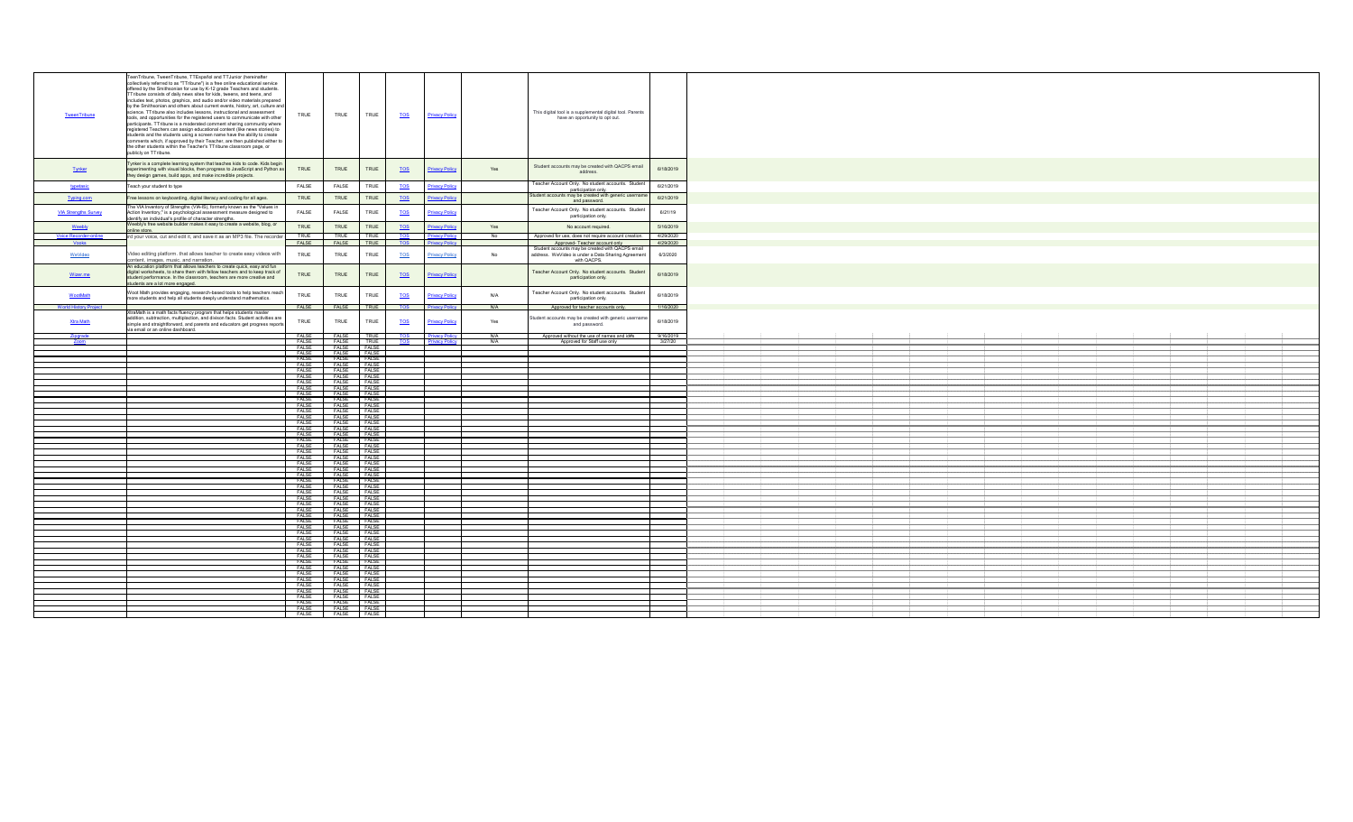| <b>TweenTribune</b>                          | TeenTribune, TweenTribune, TTEspañol and TTJunior (hereinafter<br>collectively referred to as "TTribune") is a free online educational service<br>offered by the Smithsonian for use by K-12 grade Teachers and students.<br>TTribune consists of daily news sites for kids, tweens, and teens, and<br>includes text, photos, graphics, and audio and/or video materials prepared<br>by the Smithsonian and others about current events, history, art, culture and<br>science. TTribune also includes lessons, instructional and assessment<br>tools, and opportunities for the registered users to communicate with other<br>participants. TTribune is a moderated comment sharing community where<br>registered Teachers can assign educational content (like news stories) to<br>students and the students using a screen name have the ability to create<br>$\overline{\phantom{a}}$ comments which, if approved by their Teacher, are then published either to $\overline{\phantom{a}}$<br>the other students within the Teacher's TTribune classroom page, or<br>publicly on TTribune. | <b>TRUE</b>                                                          | <b>TRUE</b>                  | <b>TRUE</b>                                                                                                                                                                                                                                                       | <b>TOS</b>               | <b>Privacy Policy</b>                          |             | This digital tool is a supplemental digital tool. Parents<br>have an opportunity to opt out.                                               |                        |                                                              |                                                           |                            |                            |  |
|----------------------------------------------|----------------------------------------------------------------------------------------------------------------------------------------------------------------------------------------------------------------------------------------------------------------------------------------------------------------------------------------------------------------------------------------------------------------------------------------------------------------------------------------------------------------------------------------------------------------------------------------------------------------------------------------------------------------------------------------------------------------------------------------------------------------------------------------------------------------------------------------------------------------------------------------------------------------------------------------------------------------------------------------------------------------------------------------------------------------------------------------------|----------------------------------------------------------------------|------------------------------|-------------------------------------------------------------------------------------------------------------------------------------------------------------------------------------------------------------------------------------------------------------------|--------------------------|------------------------------------------------|-------------|--------------------------------------------------------------------------------------------------------------------------------------------|------------------------|--------------------------------------------------------------|-----------------------------------------------------------|----------------------------|----------------------------|--|
| <u>Tynker</u>                                | Tynker is a complete learning system that teaches kids to code. Kids begin<br>$\vert$ experimenting with visual blocks, then progress to JavaScript and Python as $\vert$<br>they design games, build apps, and make incredible projects.                                                                                                                                                                                                                                                                                                                                                                                                                                                                                                                                                                                                                                                                                                                                                                                                                                                    | <b>TRUE</b>                                                          | TRUE                         | <b>TRUE</b>                                                                                                                                                                                                                                                       | <b>TOS</b>               | <b>Privacy Policy</b>                          | Yes         | Student accounts may be created with QACPS email<br>address.                                                                               | 6/18/2019              |                                                              |                                                           |                            |                            |  |
| typetasic                                    | Teach your student to type                                                                                                                                                                                                                                                                                                                                                                                                                                                                                                                                                                                                                                                                                                                                                                                                                                                                                                                                                                                                                                                                   | <b>FALSE</b>                                                         | <b>FALSE</b>                 | <b>TRUE</b>                                                                                                                                                                                                                                                       | <b>TOS</b>               | <b>Privacy Policy</b>                          |             | Teacher Account Only. No student accounts. Student<br>participation only.                                                                  | 6/21/2019              |                                                              |                                                           |                            |                            |  |
| Typing.com                                   | Free lessons on keyboarding, digital literacy and coding for all ages.                                                                                                                                                                                                                                                                                                                                                                                                                                                                                                                                                                                                                                                                                                                                                                                                                                                                                                                                                                                                                       | TRUE                                                                 | TRUE                         | <b>TRUE</b>                                                                                                                                                                                                                                                       | <b>TOS</b>               | <b>Privacy Policy</b>                          |             | Student accounts may be created with generic username<br>and password.                                                                     | 6/21/2019              |                                                              |                                                           |                            |                            |  |
| <b>VIA Strengths Survey</b>                  | The VIA Inventory of Strengths (VIA-IS), formerly known as the "Values in<br>Action Inventory," is a psychological assessment measure designed to<br>identify an individual's profile of character strengths.                                                                                                                                                                                                                                                                                                                                                                                                                                                                                                                                                                                                                                                                                                                                                                                                                                                                                | <b>FALSE</b>                                                         | <b>FALSE</b>                 | <b>TRUE</b>                                                                                                                                                                                                                                                       | <b>TOS</b>               | <b>Privacy Policy</b>                          |             | Teacher Account Only. No student accounts. Student<br>participation only.                                                                  | 6/21/19                |                                                              |                                                           |                            |                            |  |
| Weebly                                       | Weebly's free website builder makes it easy to create a website, blog, or<br>online store.                                                                                                                                                                                                                                                                                                                                                                                                                                                                                                                                                                                                                                                                                                                                                                                                                                                                                                                                                                                                   | TRUE                                                                 | TRUE                         | <b>TRUE</b>                                                                                                                                                                                                                                                       | TOS                      | <b>Privacy Policy</b>                          | Yes         | No account required.                                                                                                                       | 5/16/2019              |                                                              |                                                           |                            |                            |  |
| <b>Voice Recorder-online</b><br><u>Vooks</u> | rd your voice, cut and edit it, and save it as an MP3 file. The recorder                                                                                                                                                                                                                                                                                                                                                                                                                                                                                                                                                                                                                                                                                                                                                                                                                                                                                                                                                                                                                     | <b>TRUE</b><br>FALSE                                                 | <b>TRUE</b><br>FALSE         | <b>TRUE</b><br><b>TRUE</b>                                                                                                                                                                                                                                        | <b>TOS</b><br><b>TOS</b> | <b>Privacy Policy</b><br><b>Privacy Policy</b> | $N_{\odot}$ | Approved for use, does not require account creation.<br>Approved- Teacher account only<br>Student accounts may be created with QACPS email | 4/29/2020<br>4/29/2020 |                                                              |                                                           |                            |                            |  |
| <b>WeVideo</b>                               | Video editing platform. that allows teacher to create easy videos with<br>content, images, music, and narration.<br>An education platform that allows teachers to create quick, easy and fun                                                                                                                                                                                                                                                                                                                                                                                                                                                                                                                                                                                                                                                                                                                                                                                                                                                                                                 | <b>TRUE</b>                                                          | <b>TRUE</b>                  | <b>TRUE</b>                                                                                                                                                                                                                                                       | <b>TOS</b>               | <b>Privacy Policy</b>                          | No          | address. WeVideo is under a Data Sharing Agreement  <br>with QACPS.                                                                        | 6/3/2020               |                                                              |                                                           |                            |                            |  |
| Wizer.me                                     | digital worksheets, to share them with fellow teachers and to keep track of<br>student performance. In the classroom, teachers are more creative and<br>students are a lot more engaged.                                                                                                                                                                                                                                                                                                                                                                                                                                                                                                                                                                                                                                                                                                                                                                                                                                                                                                     | TRUE                                                                 | TRUE                         | <b>TRUE</b>                                                                                                                                                                                                                                                       | <b>TOS</b>               | <b>Privacy Policy</b>                          |             | Teacher Account Only. No student accounts. Student<br>participation only.                                                                  | 6/18/2019              |                                                              |                                                           |                            |                            |  |
| <b>WootMath</b>                              | Woot Math provides engaging, research-based tools to help teachers reach  <br>more students and help all students deeply understand mathematics.                                                                                                                                                                                                                                                                                                                                                                                                                                                                                                                                                                                                                                                                                                                                                                                                                                                                                                                                             | <b>TRUE</b>                                                          | <b>TRUE</b>                  | <b>TRUE</b>                                                                                                                                                                                                                                                       | <u>TOS</u>               | <b>Privacy Policy</b>                          | N/A         | Teacher Account Only. No student accounts. Student<br>participation only.                                                                  | 6/18/2019              |                                                              |                                                           |                            |                            |  |
| <b>World History Project</b>                 | XtraMath is a math facts fluency program that helps students master                                                                                                                                                                                                                                                                                                                                                                                                                                                                                                                                                                                                                                                                                                                                                                                                                                                                                                                                                                                                                          | FALSE                                                                | <b>FALSE</b>                 | TRUE I                                                                                                                                                                                                                                                            |                          | <b>TOS</b> Privacy Policy                      | N/A         | Approved for teacher accounts only.                                                                                                        | 1/16/2020              |                                                              |                                                           |                            |                            |  |
| <u>Xtra Math</u>                             | addition. subtraction, multiplaction, and divison facts. Student activities are<br>simple and straightforward, and parents and educators get progress reports<br>via email or an online dashboard.                                                                                                                                                                                                                                                                                                                                                                                                                                                                                                                                                                                                                                                                                                                                                                                                                                                                                           | <b>TRUE</b>                                                          | <b>TRUE</b>                  | <b>TRUE</b>                                                                                                                                                                                                                                                       | $\underline{\text{TOS}}$ | <b>Privacy Policy</b>                          | Yes         | Student accounts may be created with generic username I<br>and password.                                                                   | 6/18/2019              |                                                              |                                                           |                            |                            |  |
| Zipgrade<br><u>Zoom</u>                      |                                                                                                                                                                                                                                                                                                                                                                                                                                                                                                                                                                                                                                                                                                                                                                                                                                                                                                                                                                                                                                                                                              | FALSE                                                                | <b>FALSE</b><br><b>FALSE</b> | $\overline{TRUE}$<br><b>TRUE</b>                                                                                                                                                                                                                                  |                          | <b>Privacy Policy</b><br><b>Privacy Policy</b> | N/A<br>N/A  | Approved without the use of names and id#s<br>Approved for Staff use only                                                                  | 9/16/2019<br>3/27/20   |                                                              |                                                           |                            |                            |  |
|                                              |                                                                                                                                                                                                                                                                                                                                                                                                                                                                                                                                                                                                                                                                                                                                                                                                                                                                                                                                                                                                                                                                                              | FALSE<br>FALSE<br><b>FALSE</b>                                       |                              | FALSE FALSE                                                                                                                                                                                                                                                       |                          |                                                |             |                                                                                                                                            |                        |                                                              | and the first state                                       |                            |                            |  |
|                                              |                                                                                                                                                                                                                                                                                                                                                                                                                                                                                                                                                                                                                                                                                                                                                                                                                                                                                                                                                                                                                                                                                              | <b>FALSE</b>                                                         |                              |                                                                                                                                                                                                                                                                   |                          |                                                |             |                                                                                                                                            |                        | and the property of the                                      | and the property of the                                   |                            |                            |  |
|                                              |                                                                                                                                                                                                                                                                                                                                                                                                                                                                                                                                                                                                                                                                                                                                                                                                                                                                                                                                                                                                                                                                                              | <b>FALSE</b><br><b>FALSE</b>                                         |                              |                                                                                                                                                                                                                                                                   |                          |                                                |             |                                                                                                                                            |                        | and the state                                                | and the control<br>and the control                        |                            |                            |  |
|                                              |                                                                                                                                                                                                                                                                                                                                                                                                                                                                                                                                                                                                                                                                                                                                                                                                                                                                                                                                                                                                                                                                                              | <b>FALSE</b><br>FALSE                                                |                              |                                                                                                                                                                                                                                                                   |                          |                                                |             |                                                                                                                                            |                        | and the property of the con-                                 | and the first state<br>and the state                      |                            | the contract of the con-   |  |
|                                              |                                                                                                                                                                                                                                                                                                                                                                                                                                                                                                                                                                                                                                                                                                                                                                                                                                                                                                                                                                                                                                                                                              | <b>FALSE</b><br><b>FALSE</b>                                         |                              |                                                                                                                                                                                                                                                                   |                          |                                                |             |                                                                                                                                            |                        | and the property of the second<br>an an Tara                 | and the state of the state<br>and the state               |                            |                            |  |
|                                              |                                                                                                                                                                                                                                                                                                                                                                                                                                                                                                                                                                                                                                                                                                                                                                                                                                                                                                                                                                                                                                                                                              | <b>FALSE</b>                                                         |                              |                                                                                                                                                                                                                                                                   |                          |                                                |             |                                                                                                                                            |                        | and the con-                                                 | and the control                                           |                            |                            |  |
|                                              |                                                                                                                                                                                                                                                                                                                                                                                                                                                                                                                                                                                                                                                                                                                                                                                                                                                                                                                                                                                                                                                                                              | FALSE<br>FALSE                                                       |                              |                                                                                                                                                                                                                                                                   |                          |                                                |             |                                                                                                                                            |                        | and the first state<br>and the state                         | and the control<br>and the con-                           |                            | the contract of the con-   |  |
|                                              |                                                                                                                                                                                                                                                                                                                                                                                                                                                                                                                                                                                                                                                                                                                                                                                                                                                                                                                                                                                                                                                                                              | <b>FALSE</b><br><b>FALSE</b>                                         |                              |                                                                                                                                                                                                                                                                   |                          |                                                |             |                                                                                                                                            |                        | and the company                                              | and the control of the control<br>and the con-            |                            | and the state of the       |  |
|                                              |                                                                                                                                                                                                                                                                                                                                                                                                                                                                                                                                                                                                                                                                                                                                                                                                                                                                                                                                                                                                                                                                                              | FALSE                                                                |                              |                                                                                                                                                                                                                                                                   |                          |                                                |             |                                                                                                                                            |                        | and the company                                              | and the control of the                                    |                            | and the company            |  |
|                                              |                                                                                                                                                                                                                                                                                                                                                                                                                                                                                                                                                                                                                                                                                                                                                                                                                                                                                                                                                                                                                                                                                              | <b>FALSE</b><br>FALSE                                                |                              |                                                                                                                                                                                                                                                                   |                          |                                                |             |                                                                                                                                            |                        |                                                              | and the control of<br>and the state of the                |                            |                            |  |
|                                              |                                                                                                                                                                                                                                                                                                                                                                                                                                                                                                                                                                                                                                                                                                                                                                                                                                                                                                                                                                                                                                                                                              | FALSE                                                                |                              | FALSE FALSE<br>FALSE FALSE FALSE<br>FALSE FALSE FALSE<br>FALSE FALSE FALSE<br>FALSE FALSE FALSE<br>FALSE FALSE FALSE<br>FALSE FALSE FALSE<br>FALSE FALSE FALSE<br>FALSE FALSE FALSE<br>FALSE FALSE FALSE<br>FALSE FALSE FALSE<br>FALSE FALSE FALSE<br>FALSE FALSE |                          |                                                |             |                                                                                                                                            |                        | and the control of the con-                                  |                                                           |                            |                            |  |
|                                              |                                                                                                                                                                                                                                                                                                                                                                                                                                                                                                                                                                                                                                                                                                                                                                                                                                                                                                                                                                                                                                                                                              | <b>FALSE</b><br>FALSE                                                |                              | FALSE FALSE<br>FALSE FALSE                                                                                                                                                                                                                                        |                          |                                                |             |                                                                                                                                            |                        | and the project                                              | and the control of the                                    |                            |                            |  |
|                                              |                                                                                                                                                                                                                                                                                                                                                                                                                                                                                                                                                                                                                                                                                                                                                                                                                                                                                                                                                                                                                                                                                              | FALSE<br><b>FALSE</b>                                                |                              | FALSE FALSE<br>FALSE FALSE                                                                                                                                                                                                                                        |                          |                                                |             |                                                                                                                                            |                        | and the first state                                          | and the property of the                                   |                            |                            |  |
|                                              |                                                                                                                                                                                                                                                                                                                                                                                                                                                                                                                                                                                                                                                                                                                                                                                                                                                                                                                                                                                                                                                                                              | FALSE                                                                |                              | FALSE FALSE                                                                                                                                                                                                                                                       |                          |                                                |             |                                                                                                                                            |                        |                                                              | and the control                                           |                            |                            |  |
|                                              |                                                                                                                                                                                                                                                                                                                                                                                                                                                                                                                                                                                                                                                                                                                                                                                                                                                                                                                                                                                                                                                                                              | <b>FALSE</b><br><b>FALSE</b>                                         |                              | FALSE   FALSE<br>FALSE   FALSE                                                                                                                                                                                                                                    |                          |                                                |             |                                                                                                                                            |                        |                                                              | and the con-                                              |                            |                            |  |
|                                              |                                                                                                                                                                                                                                                                                                                                                                                                                                                                                                                                                                                                                                                                                                                                                                                                                                                                                                                                                                                                                                                                                              |                                                                      |                              |                                                                                                                                                                                                                                                                   |                          |                                                |             |                                                                                                                                            |                        |                                                              |                                                           |                            |                            |  |
|                                              |                                                                                                                                                                                                                                                                                                                                                                                                                                                                                                                                                                                                                                                                                                                                                                                                                                                                                                                                                                                                                                                                                              | FALSE<br>FALSE<br>FALSE                                              |                              |                                                                                                                                                                                                                                                                   |                          |                                                |             |                                                                                                                                            |                        | and the property of the con-<br>and the first state          | and the projection<br>and the control                     |                            |                            |  |
|                                              |                                                                                                                                                                                                                                                                                                                                                                                                                                                                                                                                                                                                                                                                                                                                                                                                                                                                                                                                                                                                                                                                                              |                                                                      |                              |                                                                                                                                                                                                                                                                   |                          |                                                |             |                                                                                                                                            |                        | and the property of the                                      | and the state                                             |                            | and the property of the    |  |
|                                              |                                                                                                                                                                                                                                                                                                                                                                                                                                                                                                                                                                                                                                                                                                                                                                                                                                                                                                                                                                                                                                                                                              | FALSE<br>FALSE                                                       |                              |                                                                                                                                                                                                                                                                   |                          |                                                |             |                                                                                                                                            |                        | and the state of the state<br>———————————                    | and the property of the                                   |                            | and the state              |  |
|                                              |                                                                                                                                                                                                                                                                                                                                                                                                                                                                                                                                                                                                                                                                                                                                                                                                                                                                                                                                                                                                                                                                                              | FALSE<br>FALSE                                                       |                              |                                                                                                                                                                                                                                                                   |                          |                                                |             |                                                                                                                                            |                        | and the first state                                          | an an Dùbhlach                                            |                            |                            |  |
|                                              |                                                                                                                                                                                                                                                                                                                                                                                                                                                                                                                                                                                                                                                                                                                                                                                                                                                                                                                                                                                                                                                                                              | <b>FALSE</b>                                                         |                              | FALSE FALSE FALSE<br>FALSE FALSE FALSE FALSE<br>FALSE FALSE FALSE FALSE<br>FALSE FALSE FALSE FALSE<br>FALSE FALSE FALSE FALSE<br>FALSE FALSE FALSE FALSE<br>FALSE FALSE FALSE<br>FALSE FALSE FALSE<br>FALSE FALSE FALSE<br>FALSE FALSE FALSE<br>FALSE FALSE       |                          |                                                |             |                                                                                                                                            |                        | and the state of the state of the state                      | and the state of the state of the                         | and the state of the state |                            |  |
|                                              |                                                                                                                                                                                                                                                                                                                                                                                                                                                                                                                                                                                                                                                                                                                                                                                                                                                                                                                                                                                                                                                                                              | <b>FALSE</b><br><b>FALSE</b>                                         |                              |                                                                                                                                                                                                                                                                   |                          |                                                |             |                                                                                                                                            |                        | and the control<br>the control of the control of the control | <b>Contract Contract</b><br>and the state of the state of |                            | and the first state        |  |
|                                              |                                                                                                                                                                                                                                                                                                                                                                                                                                                                                                                                                                                                                                                                                                                                                                                                                                                                                                                                                                                                                                                                                              | <b>FALSE</b>                                                         |                              |                                                                                                                                                                                                                                                                   |                          |                                                |             |                                                                                                                                            |                        | and the property of the                                      |                                                           |                            |                            |  |
|                                              |                                                                                                                                                                                                                                                                                                                                                                                                                                                                                                                                                                                                                                                                                                                                                                                                                                                                                                                                                                                                                                                                                              | FALSE<br>FALSE                                                       |                              |                                                                                                                                                                                                                                                                   |                          |                                                |             |                                                                                                                                            |                        | and the control of the control of<br>and the control         | $\overline{\phantom{a}}$                                  |                            | and the state of the state |  |
|                                              |                                                                                                                                                                                                                                                                                                                                                                                                                                                                                                                                                                                                                                                                                                                                                                                                                                                                                                                                                                                                                                                                                              |                                                                      |                              |                                                                                                                                                                                                                                                                   |                          |                                                |             |                                                                                                                                            |                        | and the property of the con-                                 | the contract of the con-                                  |                            |                            |  |
|                                              |                                                                                                                                                                                                                                                                                                                                                                                                                                                                                                                                                                                                                                                                                                                                                                                                                                                                                                                                                                                                                                                                                              | FALSE<br>FALSE<br>FALSE<br>FALSE<br>FALSE<br>FALSE<br>FALSE<br>FALSE |                              |                                                                                                                                                                                                                                                                   |                          |                                                |             |                                                                                                                                            |                        | and the property of the con-                                 | and the property of the<br>and the con-                   |                            |                            |  |
|                                              |                                                                                                                                                                                                                                                                                                                                                                                                                                                                                                                                                                                                                                                                                                                                                                                                                                                                                                                                                                                                                                                                                              |                                                                      |                              |                                                                                                                                                                                                                                                                   |                          |                                                |             |                                                                                                                                            |                        | and the state of the state of the state                      | and the state of the state of the                         |                            | and the first state        |  |
|                                              |                                                                                                                                                                                                                                                                                                                                                                                                                                                                                                                                                                                                                                                                                                                                                                                                                                                                                                                                                                                                                                                                                              |                                                                      |                              |                                                                                                                                                                                                                                                                   |                          |                                                |             |                                                                                                                                            |                        | and the                                                      |                                                           |                            |                            |  |
|                                              |                                                                                                                                                                                                                                                                                                                                                                                                                                                                                                                                                                                                                                                                                                                                                                                                                                                                                                                                                                                                                                                                                              |                                                                      |                              |                                                                                                                                                                                                                                                                   |                          |                                                |             |                                                                                                                                            |                        | and the state<br>and the state of the state                  | and the con-<br>and the project                           |                            |                            |  |
|                                              |                                                                                                                                                                                                                                                                                                                                                                                                                                                                                                                                                                                                                                                                                                                                                                                                                                                                                                                                                                                                                                                                                              |                                                                      |                              |                                                                                                                                                                                                                                                                   |                          |                                                |             |                                                                                                                                            |                        | and the control                                              | and the con-                                              |                            |                            |  |
|                                              |                                                                                                                                                                                                                                                                                                                                                                                                                                                                                                                                                                                                                                                                                                                                                                                                                                                                                                                                                                                                                                                                                              |                                                                      |                              |                                                                                                                                                                                                                                                                   |                          |                                                |             |                                                                                                                                            |                        |                                                              |                                                           |                            |                            |  |

|                 | İ                                                     |
|-----------------|-------------------------------------------------------|
|                 | ļ                                                     |
|                 |                                                       |
|                 |                                                       |
|                 |                                                       |
|                 |                                                       |
|                 |                                                       |
|                 |                                                       |
|                 |                                                       |
|                 |                                                       |
|                 | i<br>i                                                |
|                 | İ<br>İ                                                |
|                 | l<br>į                                                |
|                 | Ĭ                                                     |
|                 | <br> <br>                                             |
|                 | i<br>!                                                |
|                 | İ                                                     |
|                 |                                                       |
|                 |                                                       |
|                 |                                                       |
| ĵ               | l                                                     |
|                 |                                                       |
|                 |                                                       |
| <br> <br> <br>  |                                                       |
| İ               |                                                       |
| 4<br><br>       | <br><br><br><br><br><br>.<br>-------------<br>.<br>ä, |
| 4               | ļ<br><br>.<br>ï                                       |
| 4               |                                                       |
|                 |                                                       |
|                 |                                                       |
|                 |                                                       |
|                 |                                                       |
|                 |                                                       |
|                 |                                                       |
|                 | <br> <br> <br> <br>į                                  |
| ֧֖֖֚֚֚֚֬֝֬<br>l |                                                       |
|                 |                                                       |
|                 |                                                       |
|                 |                                                       |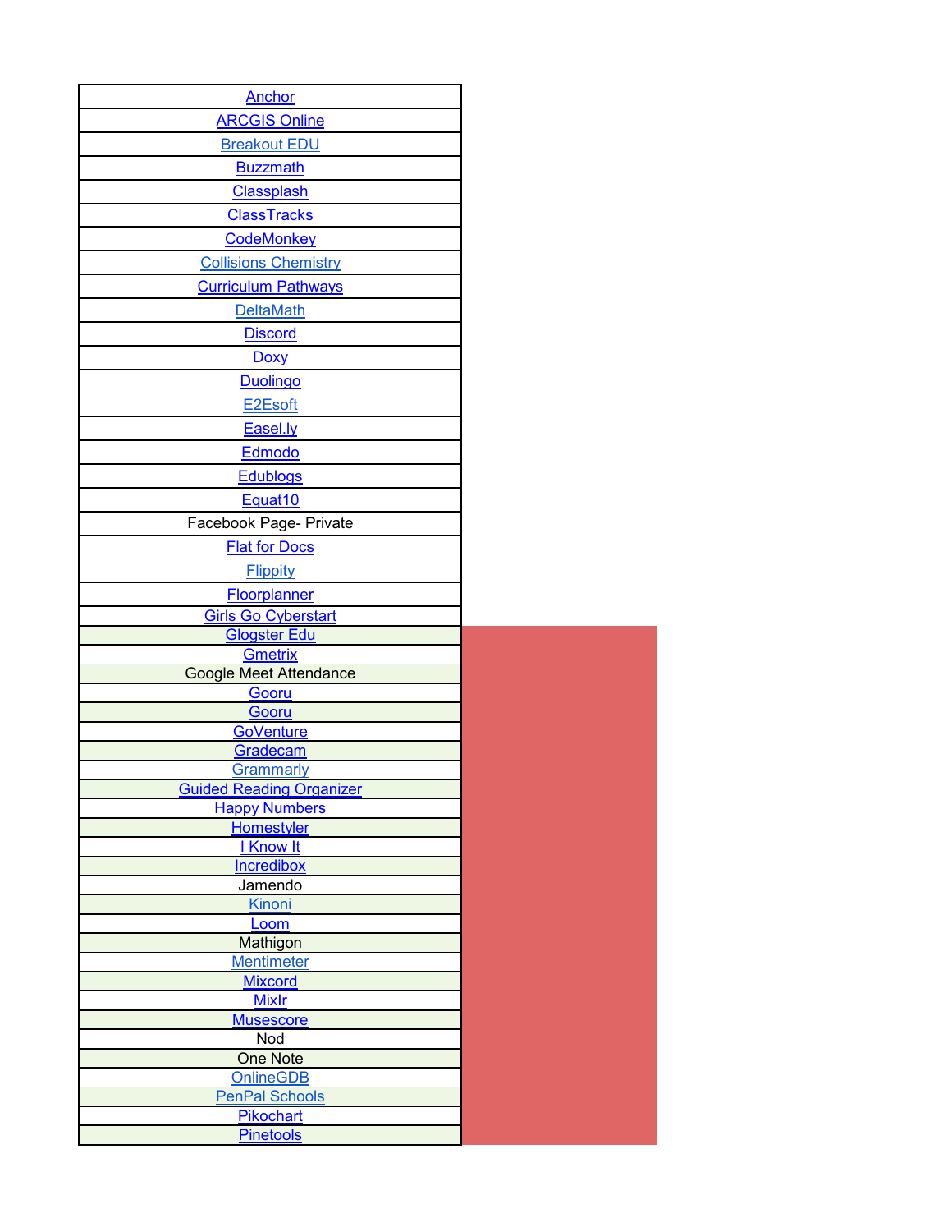| Anchor                          |  |
|---------------------------------|--|
| <b>ARCGIS Online</b>            |  |
| <b>Breakout EDU</b>             |  |
| <b>Buzzmath</b>                 |  |
| Classplash                      |  |
| <b>ClassTracks</b>              |  |
|                                 |  |
| CodeMonkey                      |  |
| <b>Collisions Chemistry</b>     |  |
| <b>Curriculum Pathways</b>      |  |
| <b>DeltaMath</b>                |  |
| <b>Discord</b>                  |  |
| Doxy                            |  |
| Duolingo                        |  |
| E2Esoft                         |  |
| Easel.ly                        |  |
| Edmodo                          |  |
|                                 |  |
| <b>Edublogs</b>                 |  |
| Equat10                         |  |
| Facebook Page- Private          |  |
| <b>Flat for Docs</b>            |  |
| <b>Flippity</b>                 |  |
| <b>Floorplanner</b>             |  |
| <b>Girls Go Cyberstart</b>      |  |
| <b>Glogster Edu</b>             |  |
| Gmetrix                         |  |
| Google Meet Attendance          |  |
| Gooru                           |  |
| Gooru                           |  |
| GoVenture<br>Gradecam           |  |
| Grammarly                       |  |
| <b>Guided Reading Organizer</b> |  |
| <b>Happy Numbers</b>            |  |
| Homestyler                      |  |
| I Know It                       |  |
| <b>Incredibox</b>               |  |
| Jamendo                         |  |
| Kinoni                          |  |
| Loom<br>Mathigon                |  |
| <b>Mentimeter</b>               |  |
| <b>Mixcord</b>                  |  |
| <b>MixIr</b>                    |  |
| <b>Musescore</b>                |  |
| Nod                             |  |
| One Note                        |  |
| OnlineGDB                       |  |
| <b>PenPal Schools</b>           |  |
| Pikochart<br><b>Pinetools</b>   |  |
|                                 |  |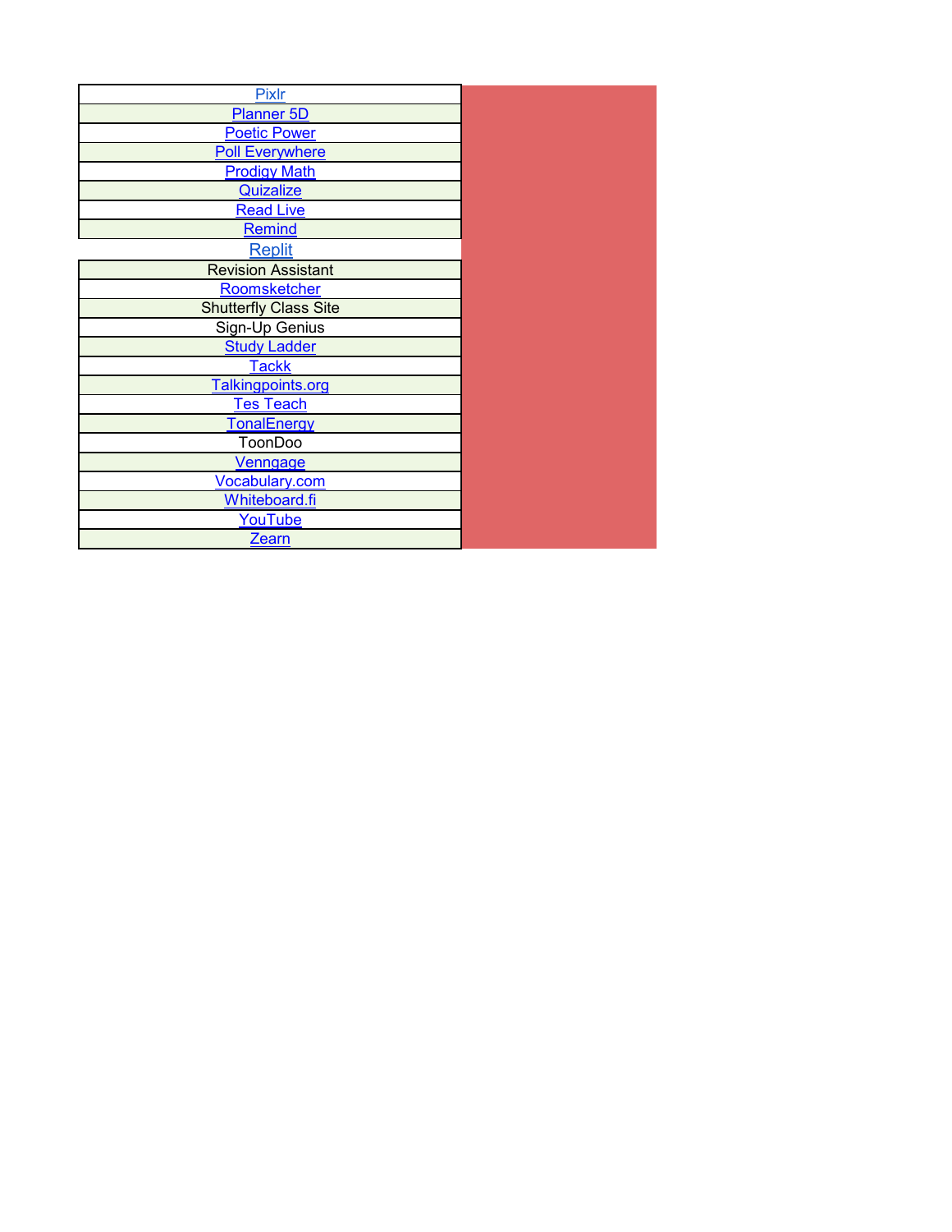| <b>Pixlr</b>                 |
|------------------------------|
|                              |
| Planner 5D                   |
| <b>Poetic Power</b>          |
| <b>Poll Everywhere</b>       |
| <b>Prodigy Math</b>          |
| Quizalize                    |
| <b>Read Live</b>             |
| <b>Remind</b>                |
| <b>Replit</b>                |
| <b>Revision Assistant</b>    |
| Roomsketcher                 |
| <b>Shutterfly Class Site</b> |
| Sign-Up Genius               |
| <b>Study Ladder</b>          |
| <b>Tackk</b>                 |
| Talkingpoints.org            |
| <b>Tes Teach</b>             |
| <b>TonalEnergy</b>           |
| <b>ToonDoo</b>               |
| <b>Venngage</b>              |
| Vocabulary.com               |
| Whiteboard.fi                |
| YouTube                      |
| Zearn                        |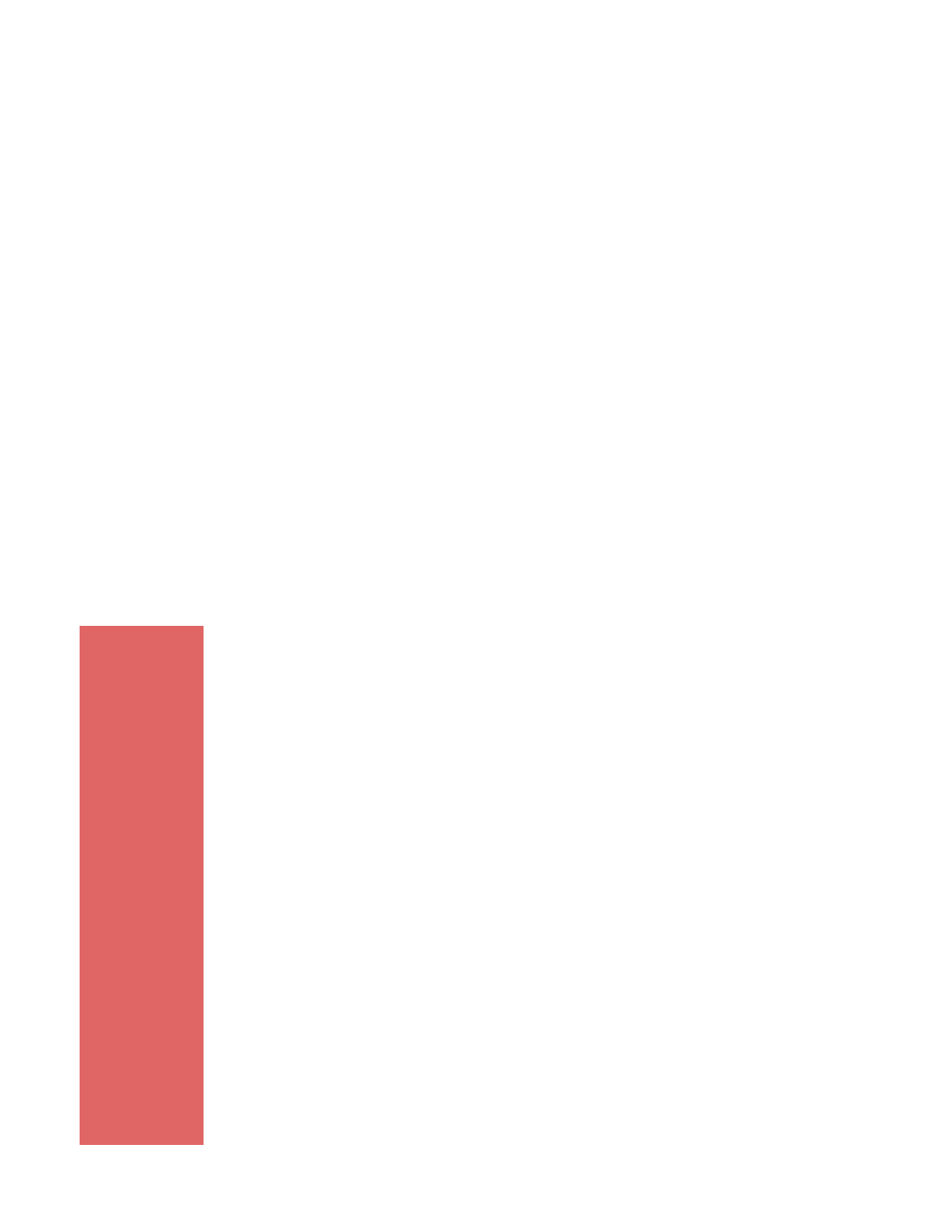